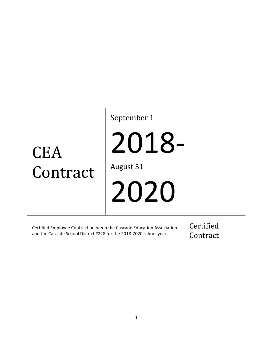# **CEA** Contract

September 1

2018-

August 31

2020

Certified Employee Contract between the Cascade Education Association and the Cascade School District #228 for the 2018-2020 school years.

Certified Contract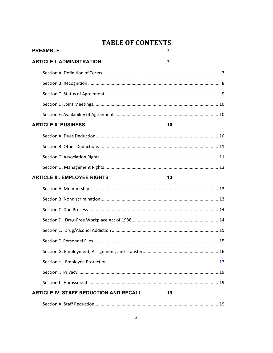# **TABLE OF CONTENTS**

| <b>PREAMBLE</b>                               | 7              |
|-----------------------------------------------|----------------|
| <b>ARTICLE I. ADMINISTRATION</b>              | $\overline{7}$ |
|                                               |                |
|                                               |                |
|                                               |                |
|                                               |                |
|                                               |                |
| <b>ARTICLE II. BUSINESS</b>                   | 10             |
|                                               |                |
|                                               |                |
|                                               |                |
|                                               |                |
| <b>ARTICLE III. EMPLOYEE RIGHTS</b>           | 13             |
|                                               |                |
|                                               |                |
|                                               |                |
|                                               |                |
|                                               |                |
|                                               |                |
|                                               |                |
|                                               |                |
|                                               |                |
|                                               |                |
| <b>ARTICLE IV. STAFF REDUCTION AND RECALL</b> | 19             |
|                                               |                |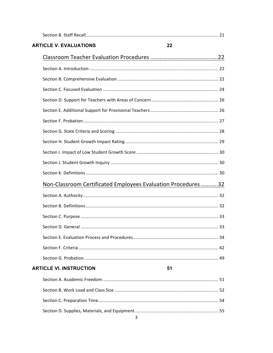| <b>ARTICLE V. EVALUATIONS</b>                                | 22 |
|--------------------------------------------------------------|----|
|                                                              |    |
|                                                              |    |
|                                                              |    |
|                                                              |    |
|                                                              |    |
|                                                              |    |
|                                                              |    |
|                                                              |    |
|                                                              |    |
|                                                              |    |
|                                                              |    |
|                                                              |    |
| Non-Classroom Certificated Employees Evaluation Procedures32 |    |
|                                                              |    |
|                                                              |    |
|                                                              |    |
|                                                              |    |
|                                                              |    |
|                                                              |    |
|                                                              |    |
| <b>ARTICLE VI. INSTRUCTION</b>                               | 51 |
|                                                              |    |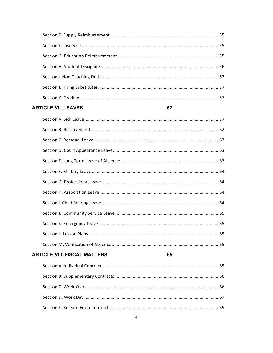## **ARTICLE VII. LEAVES**

#### 57

| <b>ARTICLE VIII. FISCAL MATTERS</b> | 65 |  |
|-------------------------------------|----|--|
|                                     |    |  |
|                                     |    |  |
|                                     |    |  |
|                                     |    |  |
|                                     |    |  |
|                                     |    |  |
|                                     |    |  |
|                                     |    |  |
|                                     |    |  |
|                                     |    |  |
|                                     |    |  |
|                                     |    |  |
|                                     |    |  |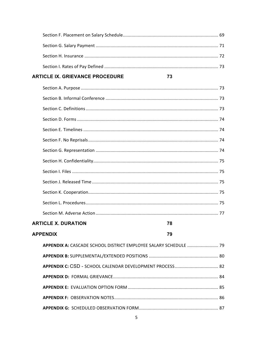## **ARTICLE IX. GRIEVANCE PROCEDURE**

## **ARTICLE X. DURATION**

| 70<br>۰. |
|----------|

78

73

| APPENDIX A: CASCADE SCHOOL DISTRICT EMPLOYEE SALARY SCHEDULE  79 |  |
|------------------------------------------------------------------|--|
|                                                                  |  |
|                                                                  |  |
|                                                                  |  |
|                                                                  |  |
|                                                                  |  |
|                                                                  |  |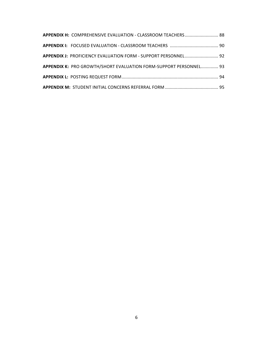| APPENDIX H: COMPREHENSIVE EVALUATION - CLASSROOM TEACHERS 88      |  |
|-------------------------------------------------------------------|--|
|                                                                   |  |
| APPENDIX J: PROFICIENCY EVALUATION FORM - SUPPORT PERSONNEL 92    |  |
| APPENDIX K: PRO GROWTH/SHORT EVALUATION FORM-SUPPORT PERSONNEL 93 |  |
|                                                                   |  |
|                                                                   |  |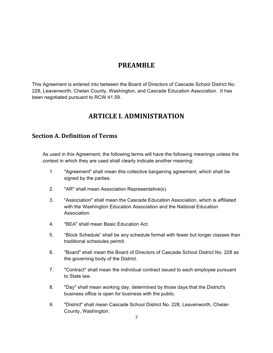# **PREAMBLE**

This Agreement is entered into between the Board of Directors of Cascade School District No. 228, Leavenworth, Chelan County, Washington, and Cascade Education Association. It has been negotiated pursuant to RCW 41.59.

# **ARTICLE I. ADMINISTRATION**

# **Section A. Definition of Terms**

As used in this Agreement, the following terms will have the following meanings unless the context in which they are used shall clearly indicate another meaning:

- 1. "Agreement" shall mean this collective bargaining agreement, which shall be signed by the parties.
- 2. "AR" shall mean Association Representative(s).
- 3. "Association" shall mean the Cascade Education Association, which is affiliated with the Washington Education Association and the National Education Association.
- 4. "BEA" shall mean Basic Education Act.
- 5. "Block Schedule" shall be any schedule format with fewer but longer classes than traditional schedules permit.
- 6. "Board" shall mean the Board of Directors of Cascade School District No. 228 as the governing body of the District.
- 7. "Contract" shall mean the individual contract issued to each employee pursuant to State law.
- 8. "Day" shall mean working day, determined by those days that the District's business office is open for business with the public.
- 9. "District" shall mean Cascade School District No. 228, Leavenworth, Chelan County, Washington.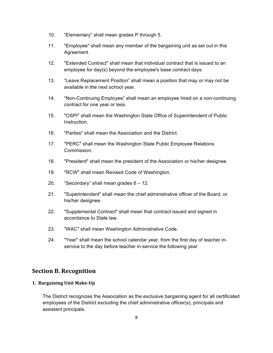- 10. "Elementary" shall mean grades P through 5.
- 11. "Employee" shall mean any member of the bargaining unit as set out in this Agreement.
- 12. "Extended Contract" shall mean that individual contract that is issued to an employee for day(s) beyond the employee's base contract days.
- 13. "Leave Replacement Position" shall mean a position that may or may not be available in the next school year.
- 14. "Non-Continuing Employee" shall mean an employee hired on a non-continuing contract for one year or less.
- 15. "OSPI" shall mean the Washington State Office of Superintendent of Public Instruction.
- 16. "Parties" shall mean the Association and the District.
- 17. "PERC" shall mean the Washington State Public Employee Relations Commission.
- 18. "President" shall mean the president of the Association or his/her designee.
- 19. "RCW" shall mean Revised Code of Washington.
- 20. "Secondary" shall mean grades 6 12.
- 21. "Superintendent" shall mean the chief administrative officer of the Board, or his/her designee.
- 22. "Supplemental Contract" shall mean that contract issued and signed in accordance to State law.
- 23. "WAC" shall mean Washington Administrative Code.
- 24. "Year" shall mean the school calendar year, from the first day of teacher inservice to the day before teacher in-service the following year.

## **Section B. Recognition**

#### **1. Bargaining Unit Make-Up**

The District recognizes the Association as the exclusive bargaining agent for all certificated employees of the District excluding the chief administrative officer(s), principals and assistant principals.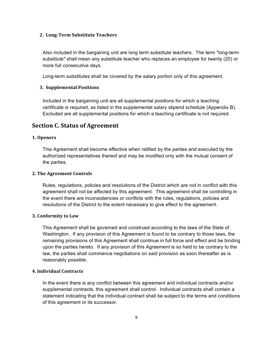#### **2. Long-Term Substitute Teachers**

Also included in the bargaining unit are long term substitute teachers. The term "long-term substitute" shall mean any substitute teacher who replaces an employee for twenty (20) or more full consecutive days.

Long-term substitutes shall be covered by the salary portion only of this agreement.

#### **3. Supplemental Positions**

Included in the bargaining unit are all supplemental positions for which a teaching certificate is required, as listed in the supplemental salary stipend schedule (Appendix B). Excluded are all supplemental positions for which a teaching certificate is not required.

## **Section C. Status of Agreement**

#### **1. Openers**

This Agreement shall become effective when ratified by the parties and executed by the authorized representatives thereof and may be modified only with the mutual consent of the parties.

#### **2. The Agreement Controls**

Rules, regulations, policies and resolutions of the District which are not in conflict with this agreement shall not be affected by this agreement. This agreement shall be controlling in the event there are inconsistencies or conflicts with the rules, regulations, policies and resolutions of the District to the extent necessary to give effect to the agreement.

#### **3. Conformity to Law**

This Agreement shall be governed and construed according to the laws of the State of Washington. If any provision of this Agreement is found to be contrary to those laws, the remaining provisions of this Agreement shall continue in full force and effect and be binding upon the parties hereto. If any provision of this Agreement is so held to be contrary to the law, the parties shall commence negotiations on said provision as soon thereafter as is reasonably possible.

#### **4. Individual Contracts**

In the event there is any conflict between this agreement and individual contracts and/or supplemental contracts, this agreement shall control. Individual contracts shall contain a statement indicating that the individual contract shall be subject to the terms and conditions of this agreement or its successor.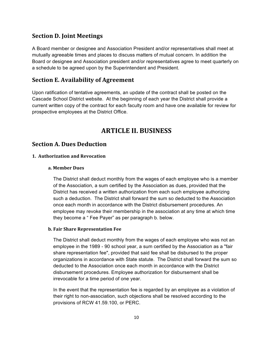## **Section D. Joint Meetings**

A Board member or designee and Association President and/or representatives shall meet at mutually agreeable times and places to discuss matters of mutual concern. In addition the Board or designee and Association president and/or representatives agree to meet quarterly on a schedule to be agreed upon by the Superintendent and President.

## **Section E. Availability of Agreement**

Upon ratification of tentative agreements, an update of the contract shall be posted on the Cascade School District website. At the beginning of each year the District shall provide a current written copy of the contract for each faculty room and have one available for review for prospective employees at the District Office.

# **ARTICLE II. BUSINESS**

## **Section A. Dues Deduction**

#### **1. Authorization and Revocation**

#### **a. Member Dues**

The District shall deduct monthly from the wages of each employee who is a member of the Association, a sum certified by the Association as dues, provided that the District has received a written authorization from each such employee authorizing such a deduction. The District shall forward the sum so deducted to the Association once each month in accordance with the District disbursement procedures. An employee may revoke their membership in the association at any time at which time they become a " Fee Payer" as per paragraph b. below.

#### **b. Fair Share Representation Fee**

The District shall deduct monthly from the wages of each employee who was not an employee in the 1989 - 90 school year, a sum certified by the Association as a "fair share representation fee", provided that said fee shall be disbursed to the proper organizations in accordance with State statute. The District shall forward the sum so deducted to the Association once each month in accordance with the District disbursement procedures. Employee authorization for disbursement shall be irrevocable for a time period of one year.

In the event that the representation fee is regarded by an employee as a violation of their right to non-association, such objections shall be resolved according to the provisions of RCW 41.59.100, or PERC.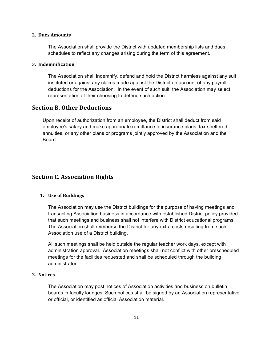#### **2. Dues Amounts**

The Association shall provide the District with updated membership lists and dues schedules to reflect any changes arising during the term of this agreement.

#### **3. Indemnification**

The Association shall Indemnify, defend and hold the District harmless against any suit instituted or against any claims made against the District on account of any payroll deductions for the Association. In the event of such suit, the Association may select representation of their choosing to defend such action.

## **Section B. Other Deductions**

Upon receipt of authorization from an employee, the District shall deduct from said employee's salary and make appropriate remittance to insurance plans, tax-sheltered annuities, or any other plans or programs jointly approved by the Association and the Board.

# **Section C. Association Rights**

#### **1. Use of Buildings**

The Association may use the District buildings for the purpose of having meetings and transacting Association business in accordance with established District policy provided that such meetings and business shall not interfere with District educational programs. The Association shall reimburse the District for any extra costs resulting from such Association use of a District building.

All such meetings shall be held outside the regular teacher work days, except with administration approval. Association meetings shall not conflict with other prescheduled meetings for the facilities requested and shall be scheduled through the building administrator.

#### **2. Notices**

The Association may post notices of Association activities and business on bulletin boards in faculty lounges. Such notices shall be signed by an Association representative or official, or identified as official Association material.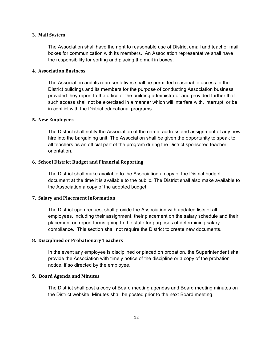#### **3. Mail System**

The Association shall have the right to reasonable use of District email and teacher mail boxes for communication with its members. An Association representative shall have the responsibility for sorting and placing the mail in boxes.

#### **4. Association Business**

The Association and its representatives shall be permitted reasonable access to the District buildings and its members for the purpose of conducting Association business provided they report to the office of the building administrator and provided further that such access shall not be exercised in a manner which will interfere with, interrupt, or be in conflict with the District educational programs.

#### **5. New Employees**

The District shall notify the Association of the name, address and assignment of any new hire into the bargaining unit. The Association shall be given the opportunity to speak to all teachers as an official part of the program during the District sponsored teacher orientation.

#### **6. School District Budget and Financial Reporting**

The District shall make available to the Association a copy of the District budget document at the time it is available to the public. The District shall also make available to the Association a copy of the adopted budget.

#### **7. Salary and Placement Information**

The District upon request shall provide the Association with updated lists of all employees, including their assignment, their placement on the salary schedule and their placement on report forms going to the state for purposes of determining salary compliance. This section shall not require the District to create new documents.

#### **8. Disciplined or Probationary Teachers**

In the event any employee is disciplined or placed on probation, the Superintendent shall provide the Association with timely notice of the discipline or a copy of the probation notice, if so directed by the employee.

#### **9. Board Agenda and Minutes**

The District shall post a copy of Board meeting agendas and Board meeting minutes on the District website. Minutes shall be posted prior to the next Board meeting.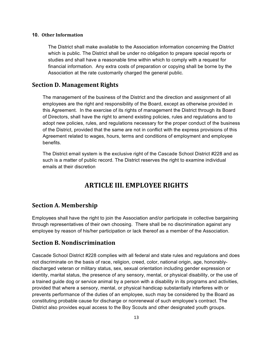#### **10. Other Information**

The District shall make available to the Association information concerning the District which is public. The District shall be under no obligation to prepare special reports or studies and shall have a reasonable time within which to comply with a request for financial information. Any extra costs of preparation or copying shall be borne by the Association at the rate customarily charged the general public.

#### **Section D. Management Rights**

The management of the business of the District and the direction and assignment of all employees are the right and responsibility of the Board, except as otherwise provided in this Agreement. In the exercise of its rights of management the District through its Board of Directors, shall have the right to amend existing policies, rules and regulations and to adopt new policies, rules, and regulations necessary for the proper conduct of the business of the District, provided that the same are not in conflict with the express provisions of this Agreement related to wages, hours, terms and conditions of employment and employee benefits.

The District email system is the exclusive right of the Cascade School District #228 and as such is a matter of public record. The District reserves the right to examine individual emails at their discretion

# **ARTICLE III. EMPLOYEE RIGHTS**

## **Section A. Membership**

Employees shall have the right to join the Association and/or participate in collective bargaining through representatives of their own choosing. There shall be no discrimination against any employee by reason of his/her participation or lack thereof as a member of the Association.

## **Section B. Nondiscrimination**

Cascade School District #228 complies with all federal and state rules and regulations and does not discriminate on the basis of race, religion, creed, color, national origin, age, honorablydischarged veteran or military status, sex, sexual orientation including gender expression or identity, marital status, the presence of any sensory, mental, or physical disability, or the use of a trained guide dog or service animal by a person with a disability in its programs and activities, provided that where a sensory, mental, or physical handicap substantially interferes with or prevents performance of the duties of an employee, such may be considered by the Board as constituting probable cause for discharge or nonrenewal of such employee's contract. The District also provides equal access to the Boy Scouts and other designated youth groups.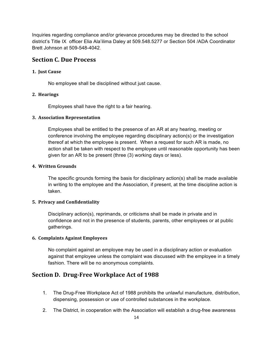Inquiries regarding compliance and/or grievance procedures may be directed to the school district's Title IX officer Elia Ala'ilima Daley at 509.548.5277 or Section 504 /ADA Coordinator Brett Johnson at 509-548-4042.

## **Section C. Due Process**

#### **1. Just Cause**

No employee shall be disciplined without just cause.

#### **2. Hearings**

Employees shall have the right to a fair hearing.

#### **3. Association Representation**

Employees shall be entitled to the presence of an AR at any hearing, meeting or conference involving the employee regarding disciplinary action(s) or the investigation thereof at which the employee is present. When a request for such AR is made, no action shall be taken with respect to the employee until reasonable opportunity has been given for an AR to be present (three (3) working days or less).

#### **4. Written Grounds**

The specific grounds forming the basis for disciplinary action(s) shall be made available in writing to the employee and the Association, if present, at the time discipline action is taken.

#### **5. Privacy and Confidentiality**

Disciplinary action(s), reprimands, or criticisms shall be made in private and in confidence and not in the presence of students, parents, other employees or at public gatherings.

#### **6. Complaints Against Employees**

No complaint against an employee may be used in a disciplinary action or evaluation against that employee unless the complaint was discussed with the employee in a timely fashion. There will be no anonymous complaints.

## **Section D. Drug-Free Workplace Act of 1988**

- 1. The Drug-Free Workplace Act of 1988 prohibits the unlawful manufacture, distribution, dispensing, possession or use of controlled substances in the workplace.
- 2. The District, in cooperation with the Association will establish a drug-free awareness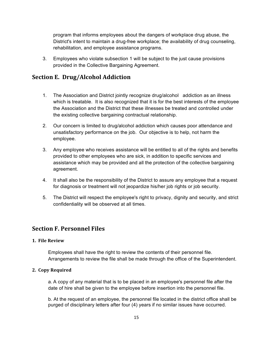program that informs employees about the dangers of workplace drug abuse, the District's intent to maintain a drug-free workplace; the availability of drug counseling, rehabilitation, and employee assistance programs.

3. Employees who violate subsection 1 will be subject to the just cause provisions provided in the Collective Bargaining Agreement.

# **Section E. Drug/Alcohol Addiction**

- 1. The Association and District jointly recognize drug/alcohol addiction as an illness which is treatable. It is also recognized that it is for the best interests of the employee the Association and the District that these illnesses be treated and controlled under the existing collective bargaining contractual relationship.
- 2. Our concern is limited to drug/alcohol addiction which causes poor attendance and unsatisfactory performance on the job. Our objective is to help, not harm the employee.
- 3. Any employee who receives assistance will be entitled to all of the rights and benefits provided to other employees who are sick, in addition to specific services and assistance which may be provided and all the protection of the collective bargaining agreement.
- 4. It shall also be the responsibility of the District to assure any employee that a request for diagnosis or treatment will not jeopardize his/her job rights or job security.
- 5. The District will respect the employee's right to privacy, dignity and security, and strict confidentiality will be observed at all times.

## **Section F. Personnel Files**

#### **1. File Review**

Employees shall have the right to review the contents of their personnel file. Arrangements to review the file shall be made through the office of the Superintendent.

#### **2. Copy Required**

a. A copy of any material that is to be placed in an employee's personnel file after the date of hire shall be given to the employee before insertion into the personnel file.

b. At the request of an employee, the personnel file located in the district office shall be purged of disciplinary letters after four (4) years if no similar issues have occurred.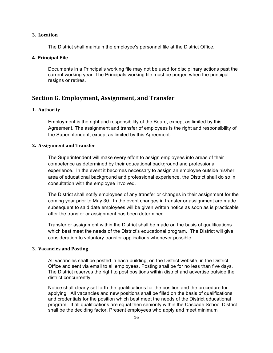#### **3. Location**

The District shall maintain the employee's personnel file at the District Office.

#### **4. Principal File**

Documents in a Principal's working file may not be used for disciplinary actions past the current working year. The Principals working file must be purged when the principal resigns or retires.

## **Section G. Employment, Assignment, and Transfer**

#### **1. Authority**

Employment is the right and responsibility of the Board, except as limited by this Agreement. The assignment and transfer of employees is the right and responsibility of the Superintendent, except as limited by this Agreement.

#### **2. Assignment and Transfer**

The Superintendent will make every effort to assign employees into areas of their competence as determined by their educational background and professional experience. In the event it becomes necessary to assign an employee outside his/her area of educational background and professional experience, the District shall do so in consultation with the employee involved.

The District shall notify employees of any transfer or changes in their assignment for the coming year prior to May 30. In the event changes in transfer or assignment are made subsequent to said date employees will be given written notice as soon as is practicable after the transfer or assignment has been determined.

Transfer or assignment within the District shall be made on the basis of qualifications which best meet the needs of the District's educational program. The District will give consideration to voluntary transfer applications whenever possible.

#### **3. Vacancies and Posting**

All vacancies shall be posted in each building, on the District website, in the District Office and sent via email to all employees. Posting shall be for no less than five days. The District reserves the right to post positions within district and advertise outside the district concurrently.

Notice shall clearly set forth the qualifications for the position and the procedure for applying. All vacancies and new positions shall be filled on the basis of qualifications and credentials for the position which best meet the needs of the District educational program. If all qualifications are equal then seniority within the Cascade School District shall be the deciding factor. Present employees who apply and meet minimum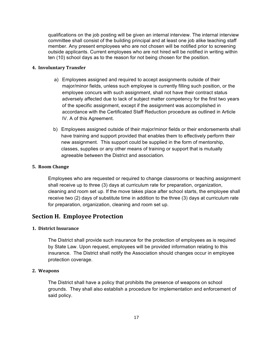qualifications on the job posting will be given an internal interview. The internal interview committee shall consist of the building principal and at least one job alike teaching staff member. Any present employees who are not chosen will be notified prior to screening outside applicants. Current employees who are not hired will be notified in writing within ten (10) school days as to the reason for not being chosen for the position.

#### **4. Involuntary Transfer**

- a) Employees assigned and required to accept assignments outside of their major/minor fields, unless such employee is currently filling such position, or the employee concurs with such assignment, shall not have their contract status adversely affected due to lack of subject matter competency for the first two years of the specific assignment, except if the assignment was accomplished in accordance with the Certificated Staff Reduction procedure as outlined in Article IV. A of this Agreement.
- b) Employees assigned outside of their major/minor fields or their endorsements shall have training and support provided that enables them to effectively perform their new assignment. This support could be supplied in the form of mentorship, classes, supplies or any other means of training or support that is mutually agreeable between the District and association.

#### **5. Room Change**

Employees who are requested or required to change classrooms or teaching assignment shall receive up to three (3) days at curriculum rate for preparation, organization, cleaning and room set up. If the move takes place after school starts, the employee shall receive two (2) days of substitute time in addition to the three (3) days at curriculum rate for preparation, organization, cleaning and room set up.

## **Section H. Employee Protection**

#### **1. District Insurance**

The District shall provide such insurance for the protection of employees as is required by State Law. Upon request, employees will be provided information relating to this insurance. The District shall notify the Association should changes occur in employee protection coverage.

#### **2. Weapons**

The District shall have a policy that prohibits the presence of weapons on school grounds. They shall also establish a procedure for implementation and enforcement of said policy.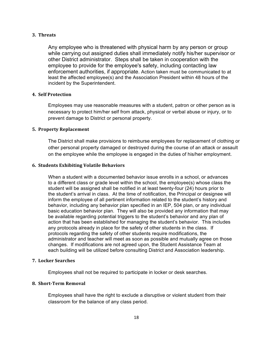#### **3. Threats**

Any employee who is threatened with physical harm by any person or group while carrying out assigned duties shall immediately notify his/her supervisor or other District administrator. Steps shall be taken in cooperation with the employee to provide for the employee's safety, including contacting law enforcement authorities, if appropriate. Action taken must be communicated to at least the affected employee(s) and the Association President within 48 hours of the incident by the Superintendent.

#### **4. Self Protection**

Employees may use reasonable measures with a student, patron or other person as is necessary to protect him/her self from attack, physical or verbal abuse or injury, or to prevent damage to District or personal property.

#### **5. Property Replacement**

The District shall make provisions to reimburse employees for replacement of clothing or other personal property damaged or destroyed during the course of an attack or assault on the employee while the employee is engaged in the duties of his/her employment.

#### **6. Students Exhibiting Volatile Behaviors**

When a student with a documented behavior issue enrolls in a school, or advances to a different class or grade level within the school, the employee(s) whose class the student will be assigned shall be notified in at least twenty-four (24) hours prior to the student's arrival in class. At the time of notification, the Principal or designee will inform the employee of all pertinent information related to the student's history and behavior, including any behavior plan specified in an IEP, 504 plan, or any individual basic education behavior plan. They will also be provided any information that may be available regarding potential triggers to the student's behavior and any plan of action that has been established for managing the student's behavior. This includes any protocols already in place for the safety of other students in the class. If protocols regarding the safety of other students require modifications, the administrator and teacher will meet as soon as possible and mutually agree on those changes. If modifications are not agreed upon, the Student Assistance Team at each building will be utilized before consulting District and Association leadership.

#### **7. Locker Searches**

Employees shall not be required to participate in locker or desk searches.

#### **8. Short-Term Removal**

Employees shall have the right to exclude a disruptive or violent student from their classroom for the balance of any class period.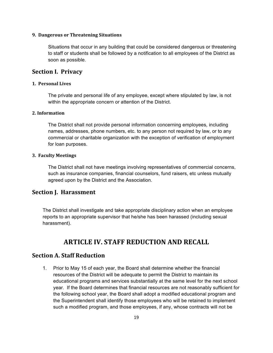#### **9. Dangerous or Threatening Situations**

Situations that occur in any building that could be considered dangerous or threatening to staff or students shall be followed by a notification to all employees of the District as soon as possible.

## **Section I. Privacy**

#### **1. Personal Lives**

The private and personal life of any employee, except where stipulated by law, is not within the appropriate concern or attention of the District.

#### **2. Information**

The District shall not provide personal information concerning employees, including names, addresses, phone numbers, etc. to any person not required by law, or to any commercial or charitable organization with the exception of verification of employment for loan purposes.

#### **3. Faculty Meetings**

The District shall not have meetings involving representatives of commercial concerns, such as insurance companies, financial counselors, fund raisers, etc unless mutually agreed upon by the District and the Association.

## **Section J. Harassment**

The District shall investigate and take appropriate disciplinary action when an employee reports to an appropriate supervisor that he/she has been harassed (including sexual harassment).

# **ARTICLE IV. STAFF REDUCTION AND RECALL**

## **Section A. Staff Reduction**

1. Prior to May 15 of each year, the Board shall determine whether the financial resources of the District will be adequate to permit the District to maintain its educational programs and services substantially at the same level for the next school year. If the Board determines that financial resources are not reasonably sufficient for the following school year, the Board shall adopt a modified educational program and the Superintendent shall identify those employees who will be retained to implement such a modified program, and those employees, if any, whose contracts will not be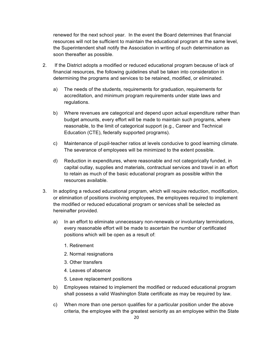renewed for the next school year. In the event the Board determines that financial resources will not be sufficient to maintain the educational program at the same level, the Superintendent shall notify the Association in writing of such determination as soon thereafter as possible.

- 2. If the District adopts a modified or reduced educational program because of lack of financial resources, the following guidelines shall be taken into consideration in determining the programs and services to be retained, modified, or eliminated.
	- a) The needs of the students, requirements for graduation, requirements for accreditation, and minimum program requirements under state laws and regulations.
	- b) Where revenues are categorical and depend upon actual expenditure rather than budget amounts, every effort will be made to maintain such programs, where reasonable, to the limit of categorical support (e.g., Career and Technical Education (CTE), federally supported programs).
	- c) Maintenance of pupil-teacher ratios at levels conducive to good learning climate. The severance of employees will be minimized to the extent possible.
	- d) Reduction in expenditures, where reasonable and not categorically funded, in capital outlay, supplies and materials, contractual services and travel in an effort to retain as much of the basic educational program as possible within the resources available.
- 3. In adopting a reduced educational program, which will require reduction, modification, or elimination of positions involving employees, the employees required to implement the modified or reduced educational program or services shall be selected as hereinafter provided.
	- a) In an effort to eliminate unnecessary non-renewals or involuntary terminations, every reasonable effort will be made to ascertain the number of certificated positions which will be open as a result of:
		- 1. Retirement
		- 2. Normal resignations
		- 3. Other transfers
		- 4. Leaves of absence
		- 5. Leave replacement positions
	- b) Employees retained to implement the modified or reduced educational program shall possess a valid Washington State certificate as may be required by law.
	- c) When more than one person qualifies for a particular position under the above criteria, the employee with the greatest seniority as an employee within the State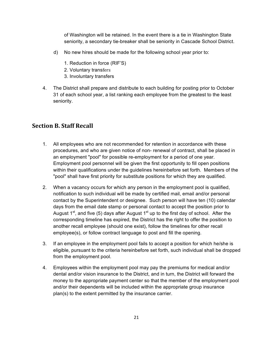of Washington will be retained. In the event there is a tie in Washington State seniority, a secondary tie-breaker shall be seniority in Cascade School District.

- d) No new hires should be made for the following school year prior to:
	- 1. Reduction in force (RIF'S)
	- 2. Voluntary transfers
	- 3. Involuntary transfers
- 4. The District shall prepare and distribute to each building for posting prior to October 31 of each school year, a list ranking each employee from the greatest to the least seniority.

## **Section B. Staff Recall**

- 1. All employees who are not recommended for retention in accordance with these procedures, and who are given notice of non- renewal of contract, shall be placed in an employment "pool" for possible re-employment for a period of one year. Employment pool personnel will be given the first opportunity to fill open positions within their qualifications under the guidelines hereinbefore set forth. Members of the "pool" shall have first priority for substitute positions for which they are qualified.
- 2. When a vacancy occurs for which any person in the employment pool is qualified, notification to such individual will be made by certified mail, email and/or personal contact by the Superintendent or designee. Such person will have ten (10) calendar days from the email date stamp or personal contact to accept the position prior to August  $1^{st}$ , and five (5) days after August  $1^{st}$  up to the first day of school. After the corresponding timeline has expired, the District has the right to offer the position to another recall employee (should one exist), follow the timelines for other recall employee(s), or follow contract language to post and fill the opening.
- 3. If an employee in the employment pool fails to accept a position for which he/she is eligible, pursuant to the criteria hereinbefore set forth, such individual shall be dropped from the employment pool.
- 4. Employees within the employment pool may pay the premiums for medical and/or dental and/or vision insurance to the District, and in turn, the District will forward the money to the appropriate payment center so that the member of the employment pool and/or their dependents will be included within the appropriate group insurance plan(s) to the extent permitted by the insurance carrier.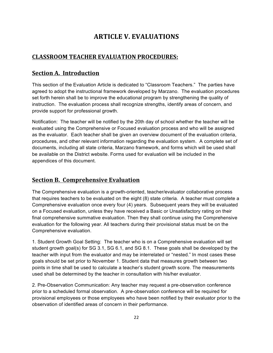# **ARTICLE V. EVALUATIONS**

# **CLASSROOM TEACHER EVALUATION PROCEDURES:**

# **<u>Section A. Introduction</u>**

This section of the Evaluation Article is dedicated to "Classroom Teachers." The parties have agreed to adopt the instructional framework developed by Marzano. The evaluation procedures set forth herein shall be to improve the educational program by strengthening the quality of instruction. The evaluation process shall recognize strengths, identify areas of concern, and provide support for professional growth.

Notification: The teacher will be notified by the 20th day of school whether the teacher will be evaluated using the Comprehensive or Focused evaluation process and who will be assigned as the evaluator. Each teacher shall be given an overview document of the evaluation criteria, procedures, and other relevant information regarding the evaluation system. A complete set of documents, including all state criteria, Marzano framework, and forms which will be used shall be available on the District website. Forms used for evaluation will be included in the appendices of this document.

# **<u>Section B. Comprehensive Evaluation</u>**

The Comprehensive evaluation is a growth-oriented, teacher/evaluator collaborative process that requires teachers to be evaluated on the eight (8) state criteria. A teacher must complete a Comprehensive evaluation once every four (4) years. Subsequent years they will be evaluated on a Focused evaluation, unless they have received a Basic or Unsatisfactory rating on their final comprehensive summative evaluation. Then they shall continue using the Comprehensive evaluation for the following year. All teachers during their provisional status must be on the Comprehensive evaluation.

1. Student Growth Goal Setting: The teacher who is on a Comprehensive evaluation will set student growth goal(s) for SG 3.1, SG 6.1, and SG 8.1. These goals shall be developed by the teacher with input from the evaluator and may be interrelated or "nested." In most cases these goals should be set prior to November 1. Student data that measures growth between two points in time shall be used to calculate a teacher's student growth score. The measurements used shall be determined by the teacher in consultation with his/her evaluator.

2. Pre-Observation Communication: Any teacher may request a pre-observation conference prior to a scheduled formal observation. A pre-observation conference will be required for provisional employees or those employees who have been notified by their evaluator prior to the observation of identified areas of concern in their performance.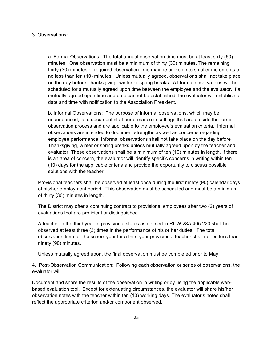#### 3. Observations:

a. Formal Observations: The total annual observation time must be at least sixty (60) minutes. One observation must be a minimum of thirty (30) minutes. The remaining thirty (30) minutes of required observation time may be broken into smaller increments of no less than ten (10) minutes. Unless mutually agreed, observations shall not take place on the day before Thanksgiving, winter or spring breaks. All formal observations will be scheduled for a mutually agreed upon time between the employee and the evaluator. If a mutually agreed upon time and date cannot be established, the evaluator will establish a date and time with notification to the Association President.

b. Informal Observations: The purpose of informal observations, which may be unannounced, is to document staff performance in settings that are outside the formal observation process and are applicable to the employee's evaluation criteria. Informal observations are intended to document strengths as well as concerns regarding employee performance. Informal observations shall not take place on the day before Thanksgiving, winter or spring breaks unless mutually agreed upon by the teacher and evaluator. These observations shall be a minimum of ten (10) minutes in length. If there is an area of concern, the evaluator will identify specific concerns in writing within ten (10) days for the applicable criteria and provide the opportunity to discuss possible solutions with the teacher.

Provisional teachers shall be observed at least once during the first ninety (90) calendar days of his/her employment period. This observation must be scheduled and must be a minimum of thirty (30) minutes in length.

The District may offer a continuing contract to provisional employees after two (2) years of evaluations that are proficient or distinguished.

A teacher in the third year of provisional status as defined in RCW 28A.405.220 shall be observed at least three (3) times in the performance of his or her duties. The total observation time for the school year for a third year provisional teacher shall not be less than ninety (90) minutes.

Unless mutually agreed upon, the final observation must be completed prior to May 1.

4. Post-Observation Communication: Following each observation or series of observations, the evaluator will:

Document and share the results of the observation in writing or by using the applicable webbased evaluation tool. Except for extenuating circumstances, the evaluator will share his/her observation notes with the teacher within ten (10) working days. The evaluator's notes shall reflect the appropriate criterion and/or component observed.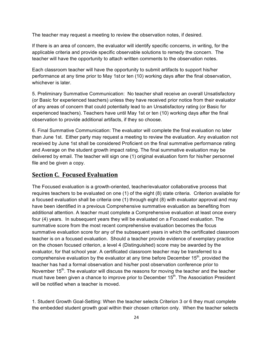The teacher may request a meeting to review the observation notes, if desired.

If there is an area of concern, the evaluator will identify specific concerns, in writing, for the applicable criteria and provide specific observable solutions to remedy the concern. The teacher will have the opportunity to attach written comments to the observation notes.

Each classroom teacher will have the opportunity to submit artifacts to support his/her performance at any time prior to May 1st or ten (10) working days after the final observation, whichever is later.

5. Preliminary Summative Communication: No teacher shall receive an overall Unsatisfactory (or Basic for experienced teachers) unless they have received prior notice from their evaluator of any areas of concern that could potentially lead to an Unsatisfactory rating (or Basic for experienced teachers). Teachers have until May 1st or ten (10) working days after the final observation to provide additional artifacts, if they so choose.

6. Final Summative Communication: The evaluator will complete the final evaluation no later than June 1st. Either party may request a meeting to review the evaluation. Any evaluation not received by June 1st shall be considered Proficient on the final summative performance rating and Average on the student growth impact rating. The final summative evaluation may be delivered by email. The teacher will sign one (1) original evaluation form for his/her personnel file and be given a copy.

## **Section C. Focused Evaluation**

The Focused evaluation is a growth-oriented, teacher/evaluator collaborative process that requires teachers to be evaluated on one (1) of the eight (8) state criteria. Criterion available for a focused evaluation shall be criteria one (1) through eight (8) with evaluator approval and may have been identified in a previous Comprehensive summative evaluation as benefiting from additional attention. A teacher must complete a Comprehensive evaluation at least once every four (4) years. In subsequent years they will be evaluated on a Focused evaluation. The summative score from the most recent comprehensive evaluation becomes the focus summative evaluation score for any of the subsequent years in which the certificated classroom teacher is on a focused evaluation. Should a teacher provide evidence of exemplary practice on the chosen focused criterion, a level 4 (Distinguished) score may be awarded by the evaluator, for that school year. A certificated classroom teacher may be transferred to a comprehensive evaluation by the evaluator at any time before December  $15<sup>th</sup>$ , provided the teacher has had a formal observation and his/her post observation conference prior to November  $15<sup>th</sup>$ . The evaluator will discuss the reasons for moving the teacher and the teacher must have been given a chance to improve prior to December 15<sup>th</sup>. The Association President will be notified when a teacher is moved.

1. Student Growth Goal-Setting: When the teacher selects Criterion 3 or 6 they must complete the embedded student growth goal within their chosen criterion only. When the teacher selects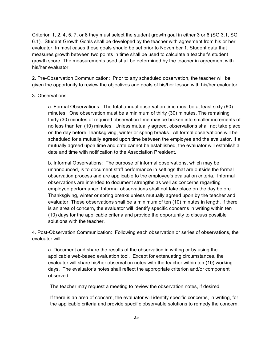Criterion 1, 2, 4, 5, 7, or 8 they must select the student growth goal in either 3 or 6 (SG 3.1, SG 6.1). Student Growth Goals shall be developed by the teacher with agreement from his or her evaluator. In most cases these goals should be set prior to November 1. Student data that measures growth between two points in time shall be used to calculate a teacher's student growth score. The measurements used shall be determined by the teacher in agreement with his/her evaluator.

2. Pre-Observation Communication: Prior to any scheduled observation, the teacher will be given the opportunity to review the objectives and goals of his/her lesson with his/her evaluator.

#### 3. Observations:

a. Formal Observations: The total annual observation time must be at least sixty (60) minutes. One observation must be a minimum of thirty (30) minutes. The remaining thirty (30) minutes of required observation time may be broken into smaller increments of no less than ten (10) minutes. Unless mutually agreed, observations shall not take place on the day before Thanksgiving, winter or spring breaks. All formal observations will be scheduled for a mutually agreed upon time between the employee and the evaluator. If a mutually agreed upon time and date cannot be established, the evaluator will establish a date and time with notification to the Association President.

b. Informal Observations: The purpose of informal observations, which may be unannounced, is to document staff performance in settings that are outside the formal observation process and are applicable to the employee's evaluation criteria. Informal observations are intended to document strengths as well as concerns regarding employee performance. Informal observations shall not take place on the day before Thanksgiving, winter or spring breaks unless mutually agreed upon by the teacher and evaluator. These observations shall be a minimum of ten (10) minutes in length. If there is an area of concern, the evaluator will identify specific concerns in writing within ten (10) days for the applicable criteria and provide the opportunity to discuss possible solutions with the teacher.

4. Post-Observation Communication: Following each observation or series of observations, the evaluator will:

a. Document and share the results of the observation in writing or by using the applicable web-based evaluation tool. Except for extenuating circumstances, the evaluator will share his/her observation notes with the teacher within ten (10) working days. The evaluator's notes shall reflect the appropriate criterion and/or component observed.

The teacher may request a meeting to review the observation notes, if desired.

If there is an area of concern, the evaluator will identify specific concerns, in writing, for the applicable criteria and provide specific observable solutions to remedy the concern.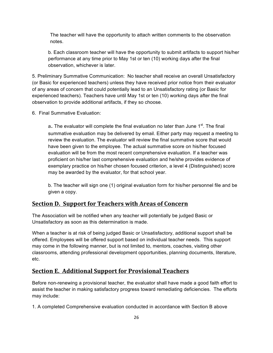The teacher will have the opportunity to attach written comments to the observation notes.

b. Each classroom teacher will have the opportunity to submit artifacts to support his/her performance at any time prior to May 1st or ten (10) working days after the final observation, whichever is later.

5. Preliminary Summative Communication: No teacher shall receive an overall Unsatisfactory (or Basic for experienced teachers) unless they have received prior notice from their evaluator of any areas of concern that could potentially lead to an Unsatisfactory rating (or Basic for experienced teachers). Teachers have until May 1st or ten (10) working days after the final observation to provide additional artifacts, if they so choose.

6. Final Summative Evaluation:

a. The evaluator will complete the final evaluation no later than June 1<sup>st</sup>. The final summative evaluation may be delivered by email. Either party may request a meeting to review the evaluation. The evaluator will review the final summative score that would have been given to the employee. The actual summative score on his/her focused evaluation will be from the most recent comprehensive evaluation. If a teacher was proficient on his/her last comprehensive evaluation and he/she provides evidence of exemplary practice on his/her chosen focused criterion, a level 4 (Distinguished) score may be awarded by the evaluator, for that school year.

b. The teacher will sign one (1) original evaluation form for his/her personnel file and be given a copy.

## **<u>Section D. Support for Teachers with Areas of Concern</u>**

The Association will be notified when any teacher will potentially be judged Basic or Unsatisfactory as soon as this determination is made.

When a teacher is at risk of being judged Basic or Unsatisfactory, additional support shall be offered. Employees will be offered support based on individual teacher needs. This support may come in the following manner, but is not limited to, mentors, coaches, visiting other classrooms, attending professional development opportunities, planning documents, literature, etc.

# **<u>Section E. Additional Support for Provisional Teachers</u>**

Before non-renewing a provisional teacher, the evaluator shall have made a good faith effort to assist the teacher in making satisfactory progress toward remediating deficiencies. The efforts may include:

1. A completed Comprehensive evaluation conducted in accordance with Section B above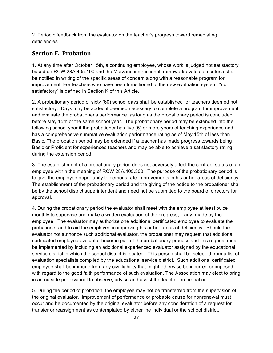2. Periodic feedback from the evaluator on the teacher's progress toward remediating deficiencies

# **Section F. Probation**

1. At any time after October 15th, a continuing employee, whose work is judged not satisfactory based on RCW 28A.405.100 and the Marzano instructional framework evaluation criteria shall be notified in writing of the specific areas of concern along with a reasonable program for improvement. For teachers who have been transitioned to the new evaluation system, "not satisfactory" is defined in Section K of this Article.

2. A probationary period of sixty (60) school days shall be established for teachers deemed not satisfactory. Days may be added if deemed necessary to complete a program for improvement and evaluate the probationer's performance, as long as the probationary period is concluded before May 15th of the same school year. The probationary period may be extended into the following school year if the probationer has five (5) or more years of teaching experience and has a comprehensive summative evaluation performance rating as of May 15th of less than Basic. The probation period may be extended if a teacher has made progress towards being Basic or Proficient for experienced teachers and may be able to achieve a satisfactory rating during the extension period.

3. The establishment of a probationary period does not adversely affect the contract status of an employee within the meaning of RCW 28A.405.300. The purpose of the probationary period is to give the employee opportunity to demonstrate improvements in his or her areas of deficiency. The establishment of the probationary period and the giving of the notice to the probationer shall be by the school district superintendent and need not be submitted to the board of directors for approval.

4. During the probationary period the evaluator shall meet with the employee at least twice monthly to supervise and make a written evaluation of the progress, if any, made by the employee. The evaluator may authorize one additional certificated employee to evaluate the probationer and to aid the employee in improving his or her areas of deficiency. Should the evaluator not authorize such additional evaluator, the probationer may request that additional certificated employee evaluator become part of the probationary process and this request must be implemented by including an additional experienced evaluator assigned by the educational service district in which the school district is located. This person shall be selected from a list of evaluation specialists compiled by the educational service district. Such additional certificated employee shall be immune from any civil liability that might otherwise be incurred or imposed with regard to the good faith performance of such evaluation. The Association may elect to bring in an outside professional to observe, advise and assist the teacher on probation.

5. During the period of probation, the employee may not be transferred from the supervision of the original evaluator. Improvement of performance or probable cause for nonrenewal must occur and be documented by the original evaluator before any consideration of a request for transfer or reassignment as contemplated by either the individual or the school district.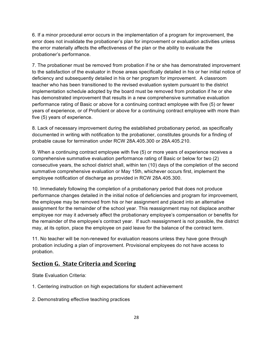6. If a minor procedural error occurs in the implementation of a program for improvement, the error does not invalidate the probationer's plan for improvement or evaluation activities unless the error materially affects the effectiveness of the plan or the ability to evaluate the probationer's performance.

7. The probationer must be removed from probation if he or she has demonstrated improvement to the satisfaction of the evaluator in those areas specifically detailed in his or her initial notice of deficiency and subsequently detailed in his or her program for improvement. A classroom teacher who has been transitioned to the revised evaluation system pursuant to the district implementation schedule adopted by the board must be removed from probation if he or she has demonstrated improvement that results in a new comprehensive summative evaluation performance rating of Basic or above for a continuing contract employee with five (5) or fewer years of experience, or of Proficient or above for a continuing contract employee with more than five (5) years of experience.

8. Lack of necessary improvement during the established probationary period, as specifically documented in writing with notification to the probationer, constitutes grounds for a finding of probable cause for termination under RCW 28A.405.300 or 28A.405.210.

9. When a continuing contract employee with five (5) or more years of experience receives a comprehensive summative evaluation performance rating of Basic or below for two (2) consecutive years, the school district shall, within ten (10) days of the completion of the second summative comprehensive evaluation or May 15th, whichever occurs first, implement the employee notification of discharge as provided in RCW 28A.405.300.

10. Immediately following the completion of a probationary period that does not produce performance changes detailed in the initial notice of deficiencies and program for improvement, the employee may be removed from his or her assignment and placed into an alternative assignment for the remainder of the school year. This reassignment may not displace another employee nor may it adversely affect the probationary employee's compensation or benefits for the remainder of the employee's contract year. If such reassignment is not possible, the district may, at its option, place the employee on paid leave for the balance of the contract term.

11. No teacher will be non-renewed for evaluation reasons unless they have gone through probation including a plan of improvement. Provisional employees do not have access to probation.

# **Section G. State Criteria and Scoring**

State Evaluation Criteria:

- 1. Centering instruction on high expectations for student achievement
- 2. Demonstrating effective teaching practices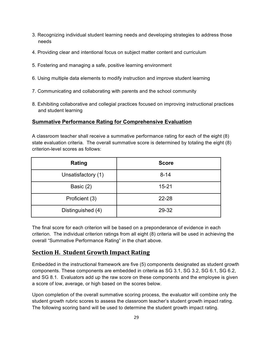- 3. Recognizing individual student learning needs and developing strategies to address those needs
- 4. Providing clear and intentional focus on subject matter content and curriculum
- 5. Fostering and managing a safe, positive learning environment
- 6. Using multiple data elements to modify instruction and improve student learning
- 7. Communicating and collaborating with parents and the school community
- 8. Exhibiting collaborative and collegial practices focused on improving instructional practices and student learning

## **Summative Performance Rating for Comprehensive Evaluation**

A classroom teacher shall receive a summative performance rating for each of the eight (8) state evaluation criteria. The overall summative score is determined by totaling the eight (8) criterion-level scores as follows:

| Rating             | <b>Score</b> |
|--------------------|--------------|
| Unsatisfactory (1) | $8 - 14$     |
| Basic (2)          | $15 - 21$    |
| Proficient (3)     | $22 - 28$    |
| Distinguished (4)  | 29-32        |

The final score for each criterion will be based on a preponderance of evidence in each criterion. The individual criterion ratings from all eight (8) criteria will be used in achieving the overall "Summative Performance Rating" in the chart above.

# **Section H. Student Growth Impact Rating**

Embedded in the instructional framework are five (5) components designated as student growth components. These components are embedded in criteria as SG 3.1, SG 3.2, SG 6.1, SG 6.2, and SG 8.1. Evaluators add up the raw score on these components and the employee is given a score of low, average, or high based on the scores below.

Upon completion of the overall summative scoring process, the evaluator will combine only the student growth rubric scores to assess the classroom teacher's student growth impact rating. The following scoring band will be used to determine the student growth impact rating.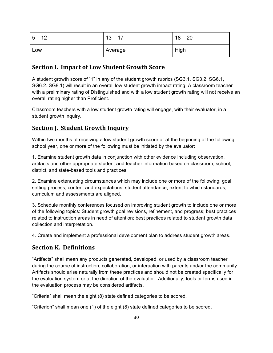| $5 - 12$ | 12<br>17 | 18<br>$-20$ |
|----------|----------|-------------|
| Low      | Average  | High        |

## **Section I. Impact of Low Student Growth Score**

A student growth score of "1" in any of the student growth rubrics (SG3.1, SG3.2, SG6.1, SG6.2. SG8.1) will result in an overall low student growth impact rating. A classroom teacher with a preliminary rating of Distinguished and with a low student growth rating will not receive an overall rating higher than Proficient.

Classroom teachers with a low student growth rating will engage, with their evaluator, in a student growth inquiry.

# **Section J. Student Growth Inquiry**

Within two months of receiving a low student growth score or at the beginning of the following school year, one or more of the following must be initiated by the evaluator:

1. Examine student growth data in conjunction with other evidence including observation, artifacts and other appropriate student and teacher information based on classroom, school, district, and state-based tools and practices.

2. Examine extenuating circumstances which may include one or more of the following: goal setting process; content and expectations; student attendance; extent to which standards, curriculum and assessments are aligned.

3. Schedule monthly conferences focused on improving student growth to include one or more of the following topics: Student growth goal revisions, refinement, and progress; best practices related to instruction areas in need of attention; best practices related to student growth data collection and interpretation.

4. Create and implement a professional development plan to address student growth areas.

## **Section K. Definitions**

"Artifacts" shall mean any products generated, developed, or used by a classroom teacher during the course of instruction, collaboration, or interaction with parents and/or the community. Artifacts should arise naturally from these practices and should not be created specifically for the evaluation system or at the direction of the evaluator. Additionally, tools or forms used in the evaluation process may be considered artifacts.

"Criteria" shall mean the eight (8) state defined categories to be scored.

"Criterion" shall mean one (1) of the eight (8) state defined categories to be scored.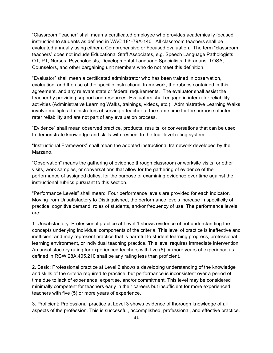"Classroom Teacher" shall mean a certificated employee who provides academically focused instruction to students as defined in WAC 181-79A-140. All classroom teachers shall be evaluated annually using either a Comprehensive or Focused evaluation. The term "classroom teachers" does not include Educational Staff Associates, e.g. Speech Language Pathologists, OT, PT, Nurses, Psychologists, Developmental Language Specialists, Librarians, TOSA, Counselors, and other bargaining unit members who do not meet this definition.

"Evaluator" shall mean a certificated administrator who has been trained in observation, evaluation, and the use of the specific instructional framework, the rubrics contained in this agreement, and any relevant state or federal requirements. The evaluator shall assist the teacher by providing support and resources. Evaluators shall engage in inter-rater reliability activities (Administrative Learning Walks, trainings, videos, etc.). Administrative Learning Walks involve multiple administrators observing a teacher at the same time for the purpose of interrater reliability and are not part of any evaluation process.

"Evidence" shall mean observed practice, products, results, or conversations that can be used to demonstrate knowledge and skills with respect to the four-level rating system.

"Instructional Framework" shall mean the adopted instructional framework developed by the Marzano.

"Observation" means the gathering of evidence through classroom or worksite visits, or other visits, work samples, or conversations that allow for the gathering of evidence of the performance of assigned duties, for the purpose of examining evidence over time against the instructional rubrics pursuant to this section.

"Performance Levels" shall mean: Four performance levels are provided for each indicator. Moving from Unsatisfactory to Distinguished, the performance levels increase in specificity of practice, cognitive demand, roles of students, and/or frequency of use. The performance levels are:

1. Unsatisfactory: Professional practice at Level 1 shows evidence of not understanding the concepts underlying individual components of the criteria. This level of practice is ineffective and inefficient and may represent practice that is harmful to student learning progress, professional learning environment, or individual teaching practice. This level requires immediate intervention. An unsatisfactory rating for experienced teachers with five (5) or more years of experience as defined in RCW 28A.405.210 shall be any rating less than proficient.

2. Basic: Professional practice at Level 2 shows a developing understanding of the knowledge and skills of the criteria required to practice, but performance is inconsistent over a period of time due to lack of experience, expertise, and/or commitment. This level may be considered minimally competent for teachers early in their careers but insufficient for more experienced teachers with five (5) or more years of experience.

3. Proficient: Professional practice at Level 3 shows evidence of thorough knowledge of all aspects of the profession. This is successful, accomplished, professional, and effective practice.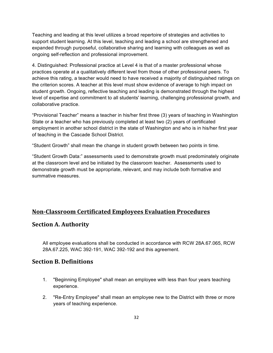Teaching and leading at this level utilizes a broad repertoire of strategies and activities to support student learning. At this level, teaching and leading a school are strengthened and expanded through purposeful, collaborative sharing and learning with colleagues as well as ongoing self-reflection and professional improvement.

4. Distinguished: Professional practice at Level 4 is that of a master professional whose practices operate at a qualitatively different level from those of other professional peers. To achieve this rating, a teacher would need to have received a majority of distinguished ratings on the criterion scores. A teacher at this level must show evidence of average to high impact on student growth. Ongoing, reflective teaching and leading is demonstrated through the highest level of expertise and commitment to all students' learning, challenging professional growth, and collaborative practice.

"Provisional Teacher" means a teacher in his/her first three (3) years of teaching in Washington State or a teacher who has previously completed at least two (2) years of certificated employment in another school district in the state of Washington and who is in his/her first year of teaching in the Cascade School District.

"Student Growth" shall mean the change in student growth between two points in time.

"Student Growth Data:" assessments used to demonstrate growth must predominately originate at the classroom level and be initiated by the classroom teacher. Assessments used to demonstrate growth must be appropriate, relevant, and may include both formative and summative measures.

# **Non-Classroom Certificated Employees Evaluation Procedures**

## **Section A. Authority**

All employee evaluations shall be conducted in accordance with RCW 28A.67.065, RCW 28A.67.225, WAC 392-191, WAC 392-192 and this agreement.

## **Section B. Definitions**

- 1. "Beginning Employee" shall mean an employee with less than four years teaching experience.
- 2. "Re-Entry Employee" shall mean an employee new to the District with three or more years of teaching experience.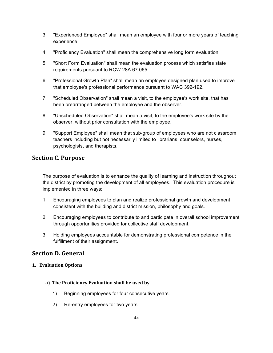- 3. "Experienced Employee" shall mean an employee with four or more years of teaching experience.
- 4. "Proficiency Evaluation" shall mean the comprehensive long form evaluation.
- 5. "Short Form Evaluation" shall mean the evaluation process which satisfies state requirements pursuant to RCW 28A.67.065.
- 6. "Professional Growth Plan" shall mean an employee designed plan used to improve that employee's professional performance pursuant to WAC 392-192.
- 7. "Scheduled Observation" shall mean a visit, to the employee's work site, that has been prearranged between the employee and the observer.
- 8. "Unscheduled Observation" shall mean a visit, to the employee's work site by the observer, without prior consultation with the employee.
- 9. "Support Employee" shall mean that sub-group of employees who are not classroom teachers including but not necessarily limited to librarians, counselors, nurses, psychologists, and therapists.

# **Section C. Purpose**

The purpose of evaluation is to enhance the quality of learning and instruction throughout the district by promoting the development of all employees. This evaluation procedure is implemented in three ways:

- 1. Encouraging employees to plan and realize professional growth and development consistent with the building and district mission, philosophy and goals.
- 2. Encouraging employees to contribute to and participate in overall school improvement through opportunities provided for collective staff development.
- 3. Holding employees accountable for demonstrating professional competence in the fulfillment of their assignment.

# **Section D. General**

#### **1. Evaluation Options**

- **a) The Proficiency Evaluation shall be used by**
	- 1) Beginning employees for four consecutive years.
	- 2) Re-entry employees for two years.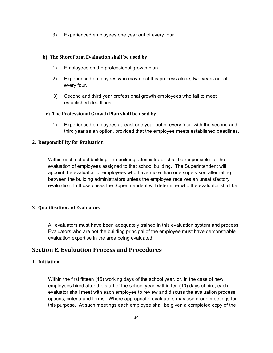3) Experienced employees one year out of every four.

#### **b) The Short Form Evaluation shall be used by**

- 1) Employees on the professional growth plan.
- 2) Experienced employees who may elect this process alone, two years out of every four.
- 3) Second and third year professional growth employees who fail to meet established deadlines.

#### **c) The Professional Growth Plan shall be used by**

 1) Experienced employees at least one year out of every four, with the second and third year as an option, provided that the employee meets established deadlines.

#### **2. Responsibility for Evaluation**

Within each school building, the building administrator shall be responsible for the evaluation of employees assigned to that school building. The Superintendent will appoint the evaluator for employees who have more than one supervisor, alternating between the building administrators unless the employee receives an unsatisfactory evaluation. In those cases the Superintendent will determine who the evaluator shall be.

#### **3. Qualifications of Evaluators**

All evaluators must have been adequately trained in this evaluation system and process. Evaluators who are not the building principal of the employee must have demonstrable evaluation expertise in the area being evaluated.

## **Section E. Evaluation Process and Procedures**

#### **1. Initiation**

Within the first fifteen (15) working days of the school year, or, in the case of new employees hired after the start of the school year, within ten (10) days of hire, each evaluator shall meet with each employee to review and discuss the evaluation process, options, criteria and forms. Where appropriate, evaluators may use group meetings for this purpose. At such meetings each employee shall be given a completed copy of the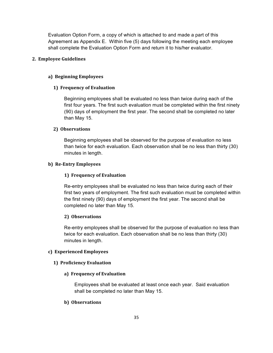Evaluation Option Form, a copy of which is attached to and made a part of this Agreement as Appendix E. Within five (5) days following the meeting each employee shall complete the Evaluation Option Form and return it to his/her evaluator.

#### **2. Employee Guidelines**

#### **a) Beginning Employees**

#### **1) Frequency of Evaluation**

Beginning employees shall be evaluated no less than twice during each of the first four years. The first such evaluation must be completed within the first ninety (90) days of employment the first year. The second shall be completed no later than May 15.

#### 2) Observations

Beginning employees shall be observed for the purpose of evaluation no less than twice for each evaluation. Each observation shall be no less than thirty (30) minutes in length.

#### **b)** Re-Entry Employees

#### **1) Frequency of Evaluation**

Re-entry employees shall be evaluated no less than twice during each of their first two years of employment. The first such evaluation must be completed within the first ninety (90) days of employment the first year. The second shall be completed no later than May 15.

#### **2) Observations**

Re-entry employees shall be observed for the purpose of evaluation no less than twice for each evaluation. Each observation shall be no less than thirty (30) minutes in length.

#### **c) Experienced Employees**

#### **1) Proficiency Evaluation**

#### **a) Frequency of Evaluation**

Employees shall be evaluated at least once each year. Said evaluation shall be completed no later than May 15.

#### **b)** Observations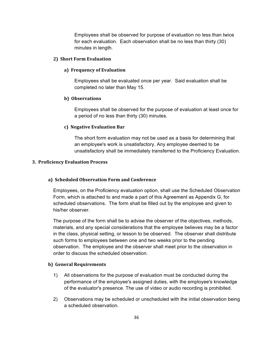Employees shall be observed for purpose of evaluation no less than twice for each evaluation. Each observation shall be no less than thirty (30) minutes in length.

#### **2) Short Form Evaluation**

#### **a) Frequency of Evaluation**

Employees shall be evaluated once per year. Said evaluation shall be completed no later than May 15.

#### **b)** Observations

Employees shall be observed for the purpose of evaluation at least once for a period of no less than thirty (30) minutes.

#### **c) Negative Evaluation Bar**

The short form evaluation may not be used as a basis for determining that an employee's work is unsatisfactory. Any employee deemed to be unsatisfactory shall be immediately transferred to the Proficiency Evaluation.

#### **3. Proficiency Evaluation Process**

#### **a) Scheduled Observation Form and Conference**

Employees, on the Proficiency evaluation option, shall use the Scheduled Observation Form, which is attached to and made a part of this Agreement as Appendix G, for scheduled observations. The form shall be filled out by the employee and given to his/her observer.

The purpose of the form shall be to advise the observer of the objectives, methods, materials, and any special considerations that the employee believes may be a factor in the class, physical setting, or lesson to be observed. The observer shall distribute such forms to employees between one and two weeks prior to the pending observation. The employee and the observer shall meet prior to the observation in order to discuss the scheduled observation.

#### **b) General Requirements**

- 1) All observations for the purpose of evaluation must be conducted during the performance of the employee's assigned duties, with the employee's knowledge of the evaluator's presence. The use of video or audio recording is prohibited.
- 2) Observations may be scheduled or unscheduled with the initial observation being a scheduled observation.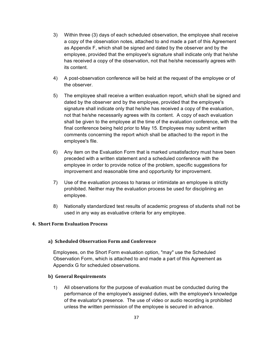- 3) Within three (3) days of each scheduled observation, the employee shall receive a copy of the observation notes, attached to and made a part of this Agreement as Appendix F, which shall be signed and dated by the observer and by the employee, provided that the employee's signature shall indicate only that he/she has received a copy of the observation, not that he/she necessarily agrees with its content.
- 4) A post-observation conference will be held at the request of the employee or of the observer.
- 5) The employee shall receive a written evaluation report, which shall be signed and dated by the observer and by the employee, provided that the employee's signature shall indicate only that he/she has received a copy of the evaluation, not that he/she necessarily agrees with its content. A copy of each evaluation shall be given to the employee at the time of the evaluation conference, with the final conference being held prior to May 15. Employees may submit written comments concerning the report which shall be attached to the report in the employee's file.
- 6) Any item on the Evaluation Form that is marked unsatisfactory must have been preceded with a written statement and a scheduled conference with the employee in order to provide notice of the problem, specific suggestions for improvement and reasonable time and opportunity for improvement.
- 7) Use of the evaluation process to harass or intimidate an employee is strictly prohibited. Neither may the evaluation process be used for disciplining an employee.
- 8) Nationally standardized test results of academic progress of students shall not be used in any way as evaluative criteria for any employee.

# **4. Short Form Evaluation Process**

#### **a) Scheduled Observation Form and Conference**

Employees, on the Short Form evaluation option, "may" use the Scheduled Observation Form, which is attached to and made a part of this Agreement as Appendix G for scheduled observations.

#### **b) General Requirements**

1) All observations for the purpose of evaluation must be conducted during the performance of the employee's assigned duties, with the employee's knowledge of the evaluator's presence. The use of video or audio recording is prohibited unless the written permission of the employee is secured in advance.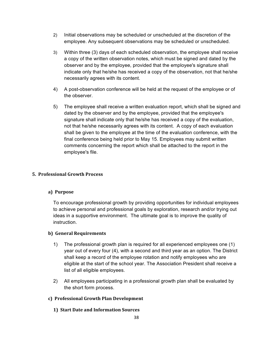- 2) Initial observations may be scheduled or unscheduled at the discretion of the employee. Any subsequent observations may be scheduled or unscheduled.
- 3) Within three (3) days of each scheduled observation, the employee shall receive a copy of the written observation notes, which must be signed and dated by the observer and by the employee, provided that the employee's signature shall indicate only that he/she has received a copy of the observation, not that he/she necessarily agrees with its content.
- 4) A post-observation conference will be held at the request of the employee or of the observer.
- 5) The employee shall receive a written evaluation report, which shall be signed and dated by the observer and by the employee, provided that the employee's signature shall indicate only that he/she has received a copy of the evaluation, not that he/she necessarily agrees with its content. A copy of each evaluation shall be given to the employee at the time of the evaluation conference, with the final conference being held prior to May 15. Employees may submit written comments concerning the report which shall be attached to the report in the employee's file.

# **5. Professional Growth Process**

## **a) Purpose**

To encourage professional growth by providing opportunities for individual employees to achieve personal and professional goals by exploration, research and/or trying out ideas in a supportive environment. The ultimate goal is to improve the quality of instruction.

## **b)** General Requirements

- 1) The professional growth plan is required for all experienced employees one (1) year out of every four (4), with a second and third year as an option. The District shall keep a record of the employee rotation and notify employees who are eligible at the start of the school year. The Association President shall receive a list of all eligible employees.
- 2) All employees participating in a professional growth plan shall be evaluated by the short form process.

## **c) Professional Growth Plan Development**

## **1) Start Date and Information Sources**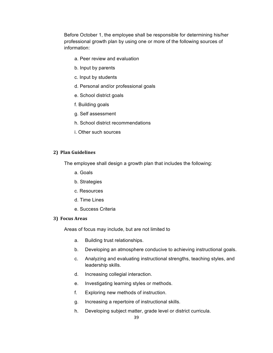Before October 1, the employee shall be responsible for determining his/her professional growth plan by using one or more of the following sources of information:

- a. Peer review and evaluation
- b. Input by parents
- c. Input by students
- d. Personal and/or professional goals
- e. School district goals
- f. Building goals
- g. Self assessment
- h. School district recommendations
- i. Other such sources

## **2) Plan Guidelines**

The employee shall design a growth plan that includes the following:

- a. Goals
- b. Strategies
- c. Resources
- d. Time Lines
- e. Success Criteria

#### **3)** Focus Areas

Areas of focus may include, but are not limited to

- a. Building trust relationships.
- b. Developing an atmosphere conducive to achieving instructional goals.
- c. Analyzing and evaluating instructional strengths, teaching styles, and leadership skills.
- d. Increasing collegial interaction.
- e. Investigating learning styles or methods.
- f. Exploring new methods of instruction.
- g. Increasing a repertoire of instructional skills.
- h. Developing subject matter, grade level or district curricula.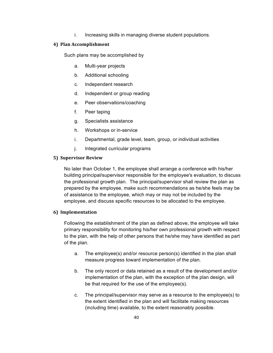i. Increasing skills in managing diverse student populations.

# **4) Plan Accomplishment**

Such plans may be accomplished by

- a. Multi-year projects
- b. Additional schooling
- c. Independent research
- d. Independent or group reading
- e. Peer observations/coaching
- f. Peer taping
- g. Specialists assistance
- h. Workshops or in-service
- i. Departmental, grade level, team, group, or individual activities
- j. Integrated curricular programs

# **5) Supervisor Review**

No later than October 1, the employee shall arrange a conference with his/her building principal/supervisor responsible for the employee's evaluation, to discuss the professional growth plan. The principal/supervisor shall review the plan as prepared by the employee, make such recommendations as he/she feels may be of assistance to the employee, which may or may not be included by the employee, and discuss specific resources to be allocated to the employee.

# **6) Implementation**

Following the establishment of the plan as defined above, the employee will take primary responsibility for monitoring his/her own professional growth with respect to the plan, with the help of other persons that he/she may have identified as part of the plan.

- a. The employee(s) and/or resource person(s) identified in the plan shall measure progress toward implementation of the plan.
- b. The only record or data retained as a result of the development and/or implementation of the plan, with the exception of the plan design, will be that required for the use of the employee(s).
- c. The principal/supervisor may serve as a resource to the employee(s) to the extent identified in the plan and will facilitate making resources (including time) available, to the extent reasonably possible.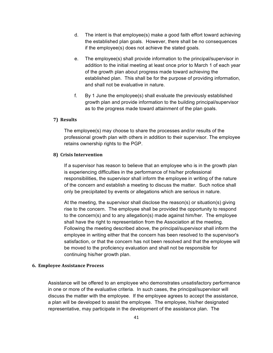- d. The intent is that employee(s) make a good faith effort toward achieving the established plan goals. However, there shall be no consequences if the employee(s) does not achieve the stated goals.
- e. The employee(s) shall provide information to the principal/supervisor in addition to the initial meeting at least once prior to March 1 of each year of the growth plan about progress made toward achieving the established plan. This shall be for the purpose of providing information, and shall not be evaluative in nature.
- f. By 1 June the employee(s) shall evaluate the previously established growth plan and provide information to the building principal/supervisor as to the progress made toward attainment of the plan goals.

## **7) Results**

The employee(s) may choose to share the processes and/or results of the professional growth plan with others in addition to their supervisor. The employee retains ownership rights to the PGP.

## **8)** Crisis Intervention

If a supervisor has reason to believe that an employee who is in the growth plan is experiencing difficulties in the performance of his/her professional responsibilities, the supervisor shall inform the employee in writing of the nature of the concern and establish a meeting to discuss the matter. Such notice shall only be precipitated by events or allegations which are serious in nature.

At the meeting, the supervisor shall disclose the reason(s) or situation(s) giving rise to the concern. The employee shall be provided the opportunity to respond to the concern(s) and to any allegation(s) made against him/her. The employee shall have the right to representation from the Association at the meeting. Following the meeting described above, the principal/supervisor shall inform the employee in writing either that the concern has been resolved to the supervisor's satisfaction, or that the concern has not been resolved and that the employee will be moved to the proficiency evaluation and shall not be responsible for continuing his/her growth plan.

## **6. Employee Assistance Process**

Assistance will be offered to an employee who demonstrates unsatisfactory performance in one or more of the evaluative criteria. In such cases, the principal/supervisor will discuss the matter with the employee. If the employee agrees to accept the assistance, a plan will be developed to assist the employee. The employee, his/her designated representative, may participate in the development of the assistance plan. The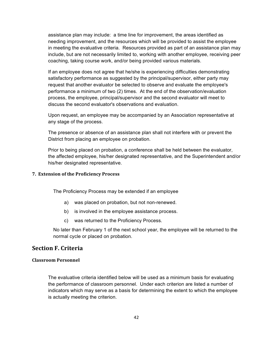assistance plan may include: a time line for improvement, the areas identified as needing improvement, and the resources which will be provided to assist the employee in meeting the evaluative criteria. Resources provided as part of an assistance plan may include, but are not necessarily limited to, working with another employee, receiving peer coaching, taking course work, and/or being provided various materials.

If an employee does not agree that he/she is experiencing difficulties demonstrating satisfactory performance as suggested by the principal/supervisor, either party may request that another evaluator be selected to observe and evaluate the employee's performance a minimum of two (2) times. At the end of the observation/evaluation process, the employee, principal/supervisor and the second evaluator will meet to discuss the second evaluator's observations and evaluation.

Upon request, an employee may be accompanied by an Association representative at any stage of the process.

The presence or absence of an assistance plan shall not interfere with or prevent the District from placing an employee on probation.

Prior to being placed on probation, a conference shall be held between the evaluator, the affected employee, his/her designated representative, and the Superintendent and/or his/her designated representative.

# **7. Extension of the Proficiency Process**

The Proficiency Process may be extended if an employee

- a) was placed on probation, but not non-renewed.
- b) is involved in the employee assistance process.
- c) was returned to the Proficiency Process.

No later than February 1 of the next school year, the employee will be returned to the normal cycle or placed on probation.

# **Section F. Criteria**

### **Classroom Personnel**

The evaluative criteria identified below will be used as a minimum basis for evaluating the performance of classroom personnel. Under each criterion are listed a number of indicators which may serve as a basis for determining the extent to which the employee is actually meeting the criterion.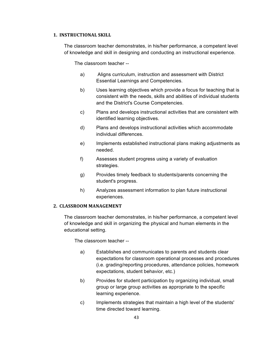### **1. INSTRUCTIONAL SKILL**

The classroom teacher demonstrates, in his/her performance, a competent level of knowledge and skill in designing and conducting an instructional experience.

The classroom teacher --

- a) Aligns curriculum, instruction and assessment with District Essential Learnings and Competencies.
- b) Uses learning objectives which provide a focus for teaching that is consistent with the needs, skills and abilities of individual students and the District's Course Competencies.
- c) Plans and develops instructional activities that are consistent with identified learning objectives.
- d) Plans and develops instructional activities which accommodate individual differences.
- e) Implements established instructional plans making adjustments as needed.
- f) Assesses student progress using a variety of evaluation strategies.
- g) Provides timely feedback to students/parents concerning the student's progress.
- h) Analyzes assessment information to plan future instructional experiences.

# **2. CLASSROOM MANAGEMENT**

The classroom teacher demonstrates, in his/her performance, a competent level of knowledge and skill in organizing the physical and human elements in the educational setting.

The classroom teacher --

- a) Establishes and communicates to parents and students clear expectations for classroom operational processes and procedures (i.e. grading/reporting procedures, attendance policies, homework expectations, student behavior, etc.)
- b) Provides for student participation by organizing individual, small group or large group activities as appropriate to the specific learning experience.
- c) Implements strategies that maintain a high level of the students' time directed toward learning.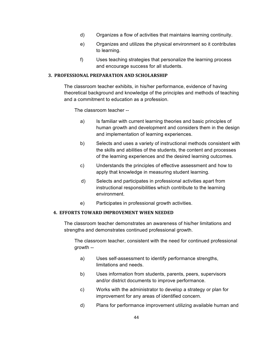- d) Organizes a flow of activities that maintains learning continuity.
- e) Organizes and utilizes the physical environment so it contributes to learning.
- f) Uses teaching strategies that personalize the learning process and encourage success for all students.

## **3. PROFESSIONAL PREPARATION AND SCHOLARSHIP**

The classroom teacher exhibits, in his/her performance, evidence of having theoretical background and knowledge of the principles and methods of teaching and a commitment to education as a profession.

The classroom teacher --

- a) Is familiar with current learning theories and basic principles of human growth and development and considers them in the design and implementation of learning experiences.
- b) Selects and uses a variety of instructional methods consistent with the skills and abilities of the students, the content and processes of the learning experiences and the desired learning outcomes.
- c) Understands the principles of effective assessment and how to apply that knowledge in measuring student learning.
- d) Selects and participates in professional activities apart from instructional responsibilities which contribute to the learning environment.
- e) Participates in professional growth activities.

## **4. EFFORTS TOWARD IMPROVEMENT WHEN NEEDED**

The classroom teacher demonstrates an awareness of his/her limitations and strengths and demonstrates continued professional growth.

The classroom teacher, consistent with the need for continued professional growth --

- a) Uses self-assessment to identify performance strengths, limitations and needs.
- b) Uses information from students, parents, peers, supervisors and/or district documents to improve performance.
- c) Works with the administrator to develop a strategy or plan for improvement for any areas of identified concern.
- d) Plans for performance improvement utilizing available human and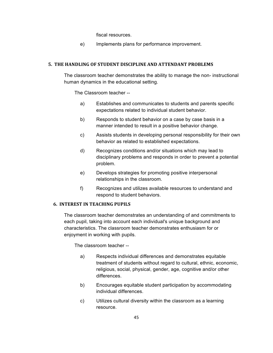fiscal resources.

e) Implements plans for performance improvement.

### **5. THE HANDLING OF STUDENT DISCIPLINE AND ATTENDANT PROBLEMS**

The classroom teacher demonstrates the ability to manage the non- instructional human dynamics in the educational setting.

The Classroom teacher --

- a) Establishes and communicates to students and parents specific expectations related to individual student behavior.
- b) Responds to student behavior on a case by case basis in a manner intended to result in a positive behavior change.
- c) Assists students in developing personal responsibility for their own behavior as related to established expectations.
- d) Recognizes conditions and/or situations which may lead to disciplinary problems and responds in order to prevent a potential problem.
- e) Develops strategies for promoting positive interpersonal relationships in the classroom.
- f) Recognizes and utilizes available resources to understand and respond to student behaviors.

## **6. INTEREST IN TEACHING PUPILS**

The classroom teacher demonstrates an understanding of and commitments to each pupil, taking into account each individual's unique background and characteristics. The classroom teacher demonstrates enthusiasm for or enjoyment in working with pupils.

The classroom teacher --

- a) Respects individual differences and demonstrates equitable treatment of students without regard to cultural, ethnic, economic, religious, social, physical, gender, age, cognitive and/or other differences.
- b) Encourages equitable student participation by accommodating individual differences.
- c) Utilizes cultural diversity within the classroom as a learning resource.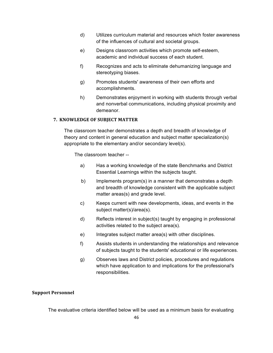- d) Utilizes curriculum material and resources which foster awareness of the influences of cultural and societal groups.
- e) Designs classroom activities which promote self-esteem, academic and individual success of each student.
- f) Recognizes and acts to eliminate dehumanizing language and stereotyping biases.
- g) Promotes students' awareness of their own efforts and accomplishments.
- h) Demonstrates enjoyment in working with students through verbal and nonverbal communications, including physical proximity and demeanor.

## **7. KNOWLEDGE OF SUBJECT MATTER**

The classroom teacher demonstrates a depth and breadth of knowledge of theory and content in general education and subject matter specialization(s) appropriate to the elementary and/or secondary level(s).

The classroom teacher --

- a) Has a working knowledge of the state Benchmarks and District Essential Learnings within the subjects taught.
- b) Implements program(s) in a manner that demonstrates a depth and breadth of knowledge consistent with the applicable subject matter areas(s) and grade level.
- c) Keeps current with new developments, ideas, and events in the subject matter(s)/area(s).
- d) Reflects interest in subject(s) taught by engaging in professional activities related to the subject area(s).
- e) Integrates subject matter area(s) with other disciplines.
- f) Assists students in understanding the relationships and relevance of subjects taught to the students' educational or life experiences.
- g) Observes laws and District policies, procedures and regulations which have application to and implications for the professional's responsibilities.

## **Support Personnel**

The evaluative criteria identified below will be used as a minimum basis for evaluating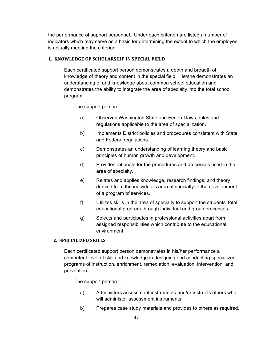the performance of support personnel. Under each criterion are listed a number of indicators which may serve as a basis for determining the extent to which the employee is actually meeting the criterion.

## **1. KNOWLEDGE OF SCHOLARSHIP IN SPECIAL FIELD**

Each certificated support person demonstrates a depth and breadth of knowledge of theory and content in the special field. He/she demonstrates an understanding of and knowledge about common school education and demonstrates the ability to integrate the area of specialty into the total school program.

The support person --

- a) Observes Washington State and Federal laws, rules and regulations applicable to the area of specialization.
- b) Implements District policies and procedures consistent with State and Federal regulations.
- c) Demonstrates an understanding of learning theory and basic principles of human growth and development.
- d) Provides rationale for the procedures and processes used in the area of specialty.
- e) Relates and applies knowledge, research findings, and theory derived from the individual's area of specialty to the development of a program of services.
- f) Utilizes skills in the area of specialty to support the students' total educational program through individual and group processes.
- g) Selects and participates in professional activities apart from assigned responsibilities which contribute to the educational environment.

# **2. SPECIALIZED SKILLS**

Each certificated support person demonstrates in his/her performance a competent level of skill and knowledge in designing and conducting specialized programs of instruction, enrichment, remediation, evaluation, intervention, and prevention.

The support person --

- a) Administers assessment instruments and/or instructs others who will administer assessment instruments.
- b) Prepares case study materials and provides to others as required.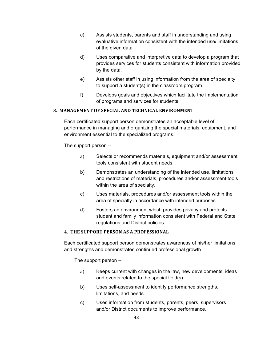- c) Assists students, parents and staff in understanding and using evaluative information consistent with the intended use/limitations of the given data.
- d) Uses comparative and interpretive data to develop a program that provides services for students consistent with information provided by the data.
- e) Assists other staff in using information from the area of specialty to support a student(s) in the classroom program.
- f) Develops goals and objectives which facilitate the implementation of programs and services for students.

# **3. MANAGEMENT OF SPECIAL AND TECHNICAL ENVIRONMENT**

Each certificated support person demonstrates an acceptable level of performance in managing and organizing the special materials, equipment, and environment essential to the specialized programs.

The support person --

- a) Selects or recommends materials, equipment and/or assessment tools consistent with student needs.
- b) Demonstrates an understanding of the intended use, limitations and restrictions of materials, procedures and/or assessment tools within the area of specialty.
- c) Uses materials, procedures and/or assessment tools within the area of specialty in accordance with intended purposes.
- d) Fosters an environment which provides privacy and protects student and family information consistent with Federal and State regulations and District policies.

# **4. THE SUPPORT PERSON AS A PROFESSIONAL**

Each certificated support person demonstrates awareness of his/her limitations and strengths and demonstrates continued professional growth.

The support person --

- a) Keeps current with changes in the law, new developments, ideas and events related to the special field(s).
- b) Uses self-assessment to identify performance strengths, limitations, and needs.
- c) Uses information from students, parents, peers, supervisors and/or District documents to improve performance.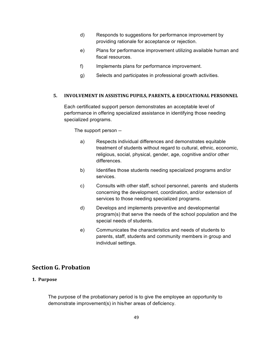- d) Responds to suggestions for performance improvement by providing rationale for acceptance or rejection.
- e) Plans for performance improvement utilizing available human and fiscal resources.
- f) Implements plans for performance improvement.
- g) Selects and participates in professional growth activities.

# **5. INVOLVEMENT IN ASSISTING PUPILS, PARENTS, & EDUCATIONAL PERSONNEL**

Each certificated support person demonstrates an acceptable level of performance in offering specialized assistance in identifying those needing specialized programs.

The support person --

- a) Respects individual differences and demonstrates equitable treatment of students without regard to cultural, ethnic, economic, religious, social, physical, gender, age, cognitive and/or other differences.
- b) Identifies those students needing specialized programs and/or services.
- c) Consults with other staff, school personnel, parents and students concerning the development, coordination, and/or extension of services to those needing specialized programs.
- d) Develops and implements preventive and developmental program(s) that serve the needs of the school population and the special needs of students.
- e) Communicates the characteristics and needs of students to parents, staff, students and community members in group and individual settings.

# **Section G. Probation**

# **1. Purpose**

The purpose of the probationary period is to give the employee an opportunity to demonstrate improvement(s) in his/her areas of deficiency.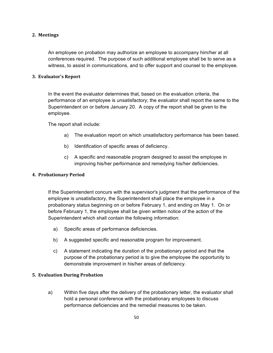## **2. Meetings**

An employee on probation may authorize an employee to accompany him/her at all conferences required. The purpose of such additional employee shall be to serve as a witness, to assist in communications, and to offer support and counsel to the employee.

### **3. Evaluator's Report**

In the event the evaluator determines that, based on the evaluation criteria, the performance of an employee is unsatisfactory; the evaluator shall report the same to the Superintendent on or before January 20. A copy of the report shall be given to the employee.

The report shall include:

- a) The evaluation report on which unsatisfactory performance has been based.
- b) Identification of specific areas of deficiency.
- c) A specific and reasonable program designed to assist the employee in improving his/her performance and remedying his/her deficiencies.

## **4. Probationary Period**

If the Superintendent concurs with the supervisor's judgment that the performance of the employee is unsatisfactory, the Superintendent shall place the employee in a probationary status beginning on or before February 1, and ending on May 1. On or before February 1, the employee shall be given written notice of the action of the Superintendent which shall contain the following information:

- a) Specific areas of performance deficiencies.
- b) A suggested specific and reasonable program for improvement.
- c) A statement indicating the duration of the probationary period and that the purpose of the probationary period is to give the employee the opportunity to demonstrate improvement in his/her areas of deficiency.

## **5. Evaluation During Probation**

a) Within five days after the delivery of the probationary letter, the evaluator shall hold a personal conference with the probationary employees to discuss performance deficiencies and the remedial measures to be taken.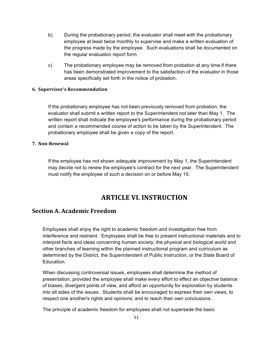- b) During the probationary period, the evaluator shall meet with the probationary employee at least twice monthly to supervise and make a written evaluation of the progress made by the employee. Such evaluations shall be documented on the regular evaluation report form.
- c) The probationary employee may be removed from probation at any time if there has been demonstrated improvement to the satisfaction of the evaluator in those areas specifically set forth in the notice of probation.

## **6. Supervisor's Recommendation**

If the probationary employee has not been previously removed from probation, the evaluator shall submit a written report to the Superintendent not later than May 1. The written report shall indicate the employee's performance during the probationary period and contain a recommended course of action to be taken by the Superintendent. The probationary employee shall be given a copy of the report.

#### **7. Non-Renewal**

If the employee has not shown adequate improvement by May 1, the Superintendent may decide not to renew the employee's contract for the next year. The Superintendent must notify the employee of such a decision on or before May 15.

# **ARTICLE VI. INSTRUCTION**

# **Section A. Academic Freedom**

Employees shall enjoy the right to academic freedom and investigation free from interference and restraint. Employees shall be free to present instructional materials and to interpret facts and ideas concerning human society, the physical and biological world and other branches of learning within the planned instructional program and curriculum as determined by the District, the Superintendent of Public Instruction, or the State Board of Education.

When discussing controversial issues, employees shall determine the method of presentation, provided the employee shall make every effort to effect an objective balance of biases, divergent points of view, and afford an opportunity for exploration by students into all sides of the issues. Students shall be encouraged to express their own views, to respect one another's rights and opinions, and to reach their own conclusions.

The principle of academic freedom for employees shall not supersede the basic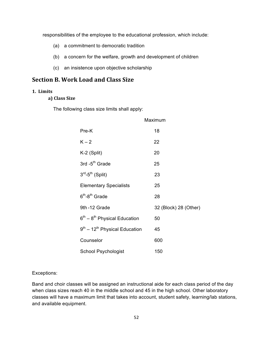responsibilities of the employee to the educational profession, which include:

- (a) a commitment to democratic tradition
- (b) a concern for the welfare, growth and development of children
- (c) an insistence upon objective scholarship

# **Section B. Work Load and Class Size**

## **1. Limits**

**a) Class Size**

The following class size limits shall apply:

|                                   | Maximum               |
|-----------------------------------|-----------------------|
| Pre-K                             | 18                    |
| $K - 2$                           | 22                    |
| K-2 (Split)                       | 20                    |
| 3rd -5 <sup>th</sup> Grade        | 25                    |
| $3^{rd}$ -5 <sup>th</sup> (Split) | 23                    |
| <b>Elementary Specialists</b>     | 25                    |
| $6th - 8th$ Grade                 | 28                    |
| 9th-12 Grade                      | 32 (Block) 28 (Other) |
| $6th - 8th$ Physical Education    | 50                    |
| $9th - 12th$ Physical Education   | 45                    |
| Counselor                         | 600                   |
| School Psychologist               | 150                   |

### Exceptions:

Band and choir classes will be assigned an instructional aide for each class period of the day when class sizes reach 40 in the middle school and 45 in the high school. Other laboratory classes will have a maximum limit that takes into account, student safety, learning/lab stations, and available equipment.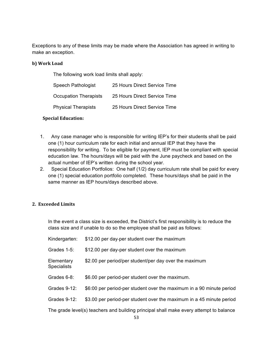Exceptions to any of these limits may be made where the Association has agreed in writing to make an exception.

## **b)** Work Load

The following work load limits shall apply:

| <b>Speech Pathologist</b>    | 25 Hours Direct Service Time |
|------------------------------|------------------------------|
| <b>Occupation Therapists</b> | 25 Hours Direct Service Time |
| <b>Physical Therapists</b>   | 25 Hours Direct Service Time |

# **Special Education:**

- 1. Any case manager who is responsible for writing IEP's for their students shall be paid one (1) hour curriculum rate for each initial and annual IEP that they have the responsibility for writing. To be eligible for payment, IEP must be compliant with special education law. The hours/days will be paid with the June paycheck and based on the actual number of IEP's written during the school year.
- 2. Special Education Portfolios: One half (1/2) day curriculum rate shall be paid for every one (1) special education portfolio completed. These hours/days shall be paid in the same manner as IEP hours/days described above.

# **2. Exceeded Limits**

In the event a class size is exceeded, the District's first responsibility is to reduce the class size and if unable to do so the employee shall be paid as follows:

| Kindergarten:                                                                          | \$12.00 per day-per student over the maximum                         |  |  |
|----------------------------------------------------------------------------------------|----------------------------------------------------------------------|--|--|
| Grades 1-5:                                                                            | \$12.00 per day-per student over the maximum                         |  |  |
| Elementary<br><b>Specialists</b>                                                       | \$2.00 per period/per student/per day over the maximum               |  |  |
| Grades 6-8:                                                                            | \$6.00 per period-per student over the maximum.                      |  |  |
| Grades 9-12:                                                                           | \$6:00 per period-per student over the maximum in a 90 minute period |  |  |
| Grades 9-12:                                                                           | \$3.00 per period-per student over the maximum in a 45 minute period |  |  |
| The grade level(s) teachers and building principal shall make every attempt to balance |                                                                      |  |  |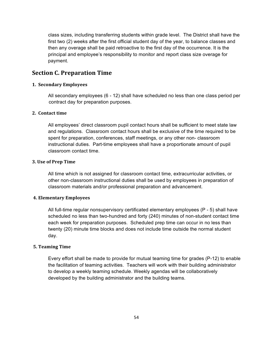class sizes, including transferring students within grade level. The District shall have the first two (2) weeks after the first official student day of the year, to balance classes and then any overage shall be paid retroactive to the first day of the occurrence. It is the principal and employee's responsibility to monitor and report class size overage for payment.

# **Section C. Preparation Time**

## **1. Secondary Employees**

All secondary employees (6 - 12) shall have scheduled no less than one class period per contract day for preparation purposes.

# **2. Contact time**

All employees' direct classroom pupil contact hours shall be sufficient to meet state law and regulations. Classroom contact hours shall be exclusive of the time required to be spent for preparation, conferences, staff meetings, or any other non- classroom instructional duties. Part-time employees shall have a proportionate amount of pupil classroom contact time.

## **3. Use of Prep Time**

All time which is not assigned for classroom contact time, extracurricular activities, or other non-classroom instructional duties shall be used by employees in preparation of classroom materials and/or professional preparation and advancement.

## **4. Elementary Employees**

All full-time regular nonsupervisory certificated elementary employees (P - 5) shall have scheduled no less than two-hundred and forty (240) minutes of non-student contact time each week for preparation purposes. Scheduled prep time can occur in no less than twenty (20) minute time blocks and does not include time outside the normal student day.

## **5. Teaming Time**

Every effort shall be made to provide for mutual teaming time for grades (P-12) to enable the facilitation of teaming activities. Teachers will work with their building administrator to develop a weekly teaming schedule. Weekly agendas will be collaboratively developed by the building administrator and the building teams.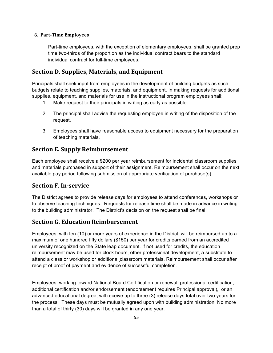# **6. Part-Time Employees**

Part-time employees, with the exception of elementary employees, shall be granted prep time two-thirds of the proportion as the individual contract bears to the standard individual contract for full-time employees.

# **Section D. Supplies, Materials, and Equipment**

Principals shall seek input from employees in the development of building budgets as such budgets relate to teaching supplies, materials, and equipment. In making requests for additional supplies, equipment, and materials for use in the instructional program employees shall:

- 1. Make request to their principals in writing as early as possible.
- 2. The principal shall advise the requesting employee in writing of the disposition of the request.
- 3. Employees shall have reasonable access to equipment necessary for the preparation of teaching materials.

# **Section E. Supply Reimbursement**

Each employee shall receive a \$200 per year reimbursement for incidental classroom supplies and materials purchased in support of their assignment. Reimbursement shall occur on the next available pay period following submission of appropriate verification of purchase(s).

# **Section F. In-service**

The District agrees to provide release days for employees to attend conferences, workshops or to observe teaching techniques. Requests for release time shall be made in advance in writing to the building administrator. The District's decision on the request shall be final.

# **Section G. Education Reimbursement**

Employees, with ten (10) or more years of experience in the District, will be reimbursed up to a maximum of one hundred fifty dollars (\$150) per year for credits earned from an accredited university recognized on the State leap document. If not used for credits, the education reimbursement may be used for clock hours, other professional development, a substitute to attend a class or workshop or additional classroom materials. Reimbursement shall occur after receipt of proof of payment and evidence of successful completion.

Employees, working toward National Board Certification or renewal, professional certification, additional certification and/or endorsement (endorsement requires Principal approval), or an advanced educational degree, will receive up to three (3) release days total over two years for the process. These days must be mutually agreed upon with building administration. No more than a total of thirty (30) days will be granted in any one year.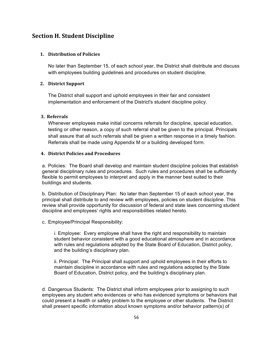# **Section H. Student Discipline**

### **1. Distribution of Policies**

No later than September 15, of each school year, the District shall distribute and discuss with employees building guidelines and procedures on student discipline.

## **2. District Support**

The District shall support and uphold employees in their fair and consistent implementation and enforcement of the District's student discipline policy.

#### **3.** Referrals

Whenever employees make initial concerns referrals for discipline, special education, testing or other reason, a copy of such referral shall be given to the principal. Principals shall assure that all such referrals shall be given a written response in a timely fashion. Referrals shall be made using Appendix M or a building developed form.

## **4.** District Policies and Procedures

a. Policies: The Board shall develop and maintain student discipline policies that establish general disciplinary rules and procedures. Such rules and procedures shall be sufficiently flexible to permit employees to interpret and apply in the manner best suited to their buildings and students.

b. Distribution of Disciplinary Plan: No later than September 15 of each school year, the principal shall distribute to and review with employees, policies on student discipline. This review shall provide opportunity for discussion of federal and state laws concerning student discipline and employees' rights and responsibilities related hereto.

c. Employee/Principal Responsibility:

i. Employee: Every employee shall have the right and responsibility to maintain student behavior consistent with a good educational atmosphere and in accordance with rules and regulations adopted by the State Board of Education, District policy, and the building's disciplinary plan.

ii. Principal: The Principal shall support and uphold employees in their efforts to maintain discipline in accordance with rules and regulations adopted by the State Board of Education, District policy, and the building's disciplinary plan.

d. Dangerous Students: The District shall inform employees prior to assigning to such employees any student who evidences or who has evidenced symptoms or behaviors that could present a health or safety problem to the employee or other students. The District shall present specific information about known symptoms and/or behavior pattern(s) of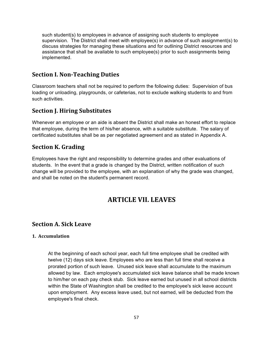such student(s) to employees in advance of assigning such students to employee supervision. The District shall meet with employee(s) in advance of such assignment(s) to discuss strategies for managing these situations and for outlining District resources and assistance that shall be available to such employee(s) prior to such assignments being implemented.

# **Section I. Non-Teaching Duties**

Classroom teachers shall not be required to perform the following duties: Supervision of bus loading or unloading, playgrounds, or cafeterias, not to exclude walking students to and from such activities.

# **Section J. Hiring Substitutes**

Whenever an employee or an aide is absent the District shall make an honest effort to replace that employee, during the term of his/her absence, with a suitable substitute. The salary of certificated substitutes shall be as per negotiated agreement and as stated in Appendix A.

# **Section K. Grading**

Employees have the right and responsibility to determine grades and other evaluations of students. In the event that a grade is changed by the District, written notification of such change will be provided to the employee, with an explanation of why the grade was changed, and shall be noted on the student's permanent record.

# **ARTICLE VII. LEAVES**

# **Section A. Sick Leave**

# **1. Accumulation**

At the beginning of each school year, each full time employee shall be credited with twelve (12) days sick leave. Employees who are less than full time shall receive a prorated portion of such leave. Unused sick leave shall accumulate to the maximum allowed by law. Each employee's accumulated sick leave balance shall be made known to him/her on each pay check stub. Sick leave earned but unused in all school districts within the State of Washington shall be credited to the employee's sick leave account upon employment. Any excess leave used, but not earned, will be deducted from the employee's final check.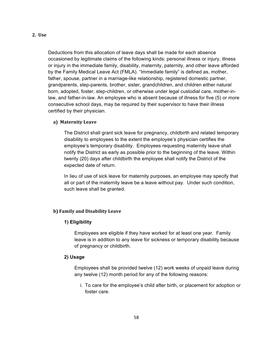# **2. Use**

Deductions from this allocation of leave days shall be made for each absence occasioned by legitimate claims of the following kinds: personal illness or injury, illness or injury in the immediate family, disability, maternity, paternity, and other leave afforded by the Family Medical Leave Act (FMLA). "Immediate family" is defined as, mother, father, spouse, partner in a marriage-like relationship, registered domestic partner, grandparents, step-parents, brother, sister, grandchildren, and children either natural born, adopted, foster, step-children, or otherwise under legal custodial care, mother-inlaw, and father-in-law. An employee who is absent because of illness for five (5) or more consecutive school days, may be required by their supervisor to have their illness certified by their physician.

#### **a) Maternity Leave**

The District shall grant sick leave for pregnancy, childbirth and related temporary disability to employees to the extent the employee's physician certifies the employee's temporary disability. Employees requesting maternity leave shall notify the District as early as possible prior to the beginning of the leave. Within twenty (20) days after childbirth the employee shall notify the District of the expected date of return.

In lieu of use of sick leave for maternity purposes, an employee may specify that all or part of the maternity leave be a leave without pay. Under such condition, such leave shall be granted.

# **b) Family and Disability Leave**

### **1) Eligibility**

Employees are eligible if they have worked for at least one year. Family leave is in addition to any leave for sickness or temporary disability because of pregnancy or childbirth.

## **2) Usage**

Employees shall be provided twelve (12) work weeks of unpaid leave during any twelve (12) month period for any of the following reasons:

i. To care for the employee's child after birth, or placement for adoption or foster care.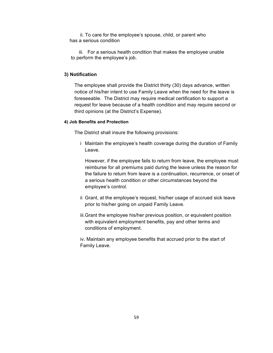ii. To care for the employee's spouse, child, or parent who has a serious condition 

 iii. For a serious health condition that makes the employee unable to perform the employee's job.

## **3) Notification**

The employee shall provide the District thirty (30) days advance, written notice of his/her intent to use Family Leave when the need for the leave is foreseeable. The District may require medical certification to support a request for leave because of a health condition and may require second or third opinions (at the District's Expense).

#### **4) Job Benefits and Protection**

The District shall insure the following provisions:

i Maintain the employee's health coverage during the duration of Family Leave.

However, if the employee fails to return from leave, the employee must reimburse for all premiums paid during the leave unless the reason for the failure to return from leave is a continuation, recurrence, or onset of a serious health condition or other circumstances beyond the employee's control.

- ii Grant, at the employee's request, his/her usage of accrued sick leave prior to his/her going on unpaid Family Leave.
- iii.Grant the employee his/her previous position, or equivalent position with equivalent employment benefits, pay and other terms and conditions of employment.

iv. Maintain any employee benefits that accrued prior to the start of Family Leave.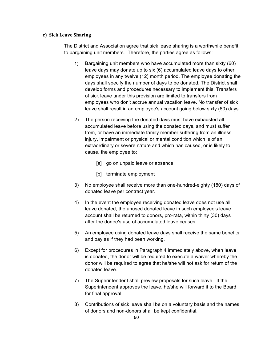### **c) Sick Leave Sharing**

The District and Association agree that sick leave sharing is a worthwhile benefit to bargaining unit members. Therefore, the parties agree as follows:

- 1) Bargaining unit members who have accumulated more than sixty (60) leave days may donate up to six (6) accumulated leave days to other employees in any twelve (12) month period. The employee donating the days shall specify the number of days to be donated. The District shall develop forms and procedures necessary to implement this. Transfers of sick leave under this provision are limited to transfers from employees who don't accrue annual vacation leave. No transfer of sick leave shall result in an employee's account going below sixty (60) days.
- 2) The person receiving the donated days must have exhausted all accumulated leave before using the donated days, and must suffer from, or have an immediate family member suffering from an illness, injury, impairment or physical or mental condition which is of an extraordinary or severe nature and which has caused, or is likely to cause, the employee to:
	- [a] go on unpaid leave or absence
	- [b] terminate employment
- 3) No employee shall receive more than one-hundred-eighty (180) days of donated leave per contract year.
- 4) In the event the employee receiving donated leave does not use all leave donated, the unused donated leave in such employee's leave account shall be returned to donors, pro-rata, within thirty (30) days after the donee's use of accumulated leave ceases.
- 5) An employee using donated leave days shall receive the same benefits and pay as if they had been working.
- 6) Except for procedures in Paragraph 4 immediately above, when leave is donated, the donor will be required to execute a waiver whereby the donor will be required to agree that he/she will not ask for return of the donated leave.
- 7) The Superintendent shall preview proposals for such leave. If the Superintendent approves the leave, he/she will forward it to the Board for final approval.
- 8) Contributions of sick leave shall be on a voluntary basis and the names of donors and non-donors shall be kept confidential.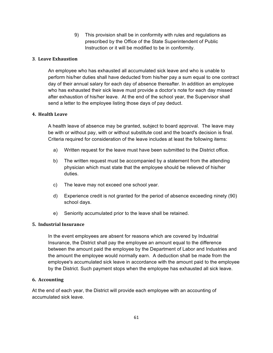9) This provision shall be in conformity with rules and regulations as prescribed by the Office of the State Superintendent of Public Instruction or it will be modified to be in conformity.

# **3**. **Leave Exhaustion**

An employee who has exhausted all accumulated sick leave and who is unable to perform his/her duties shall have deducted from his/her pay a sum equal to one contract day of their annual salary for each day of absence thereafter. In addition an employee who has exhausted their sick leave must provide a doctor's note for each day missed after exhaustion of his/her leave. At the end of the school year, the Supervisor shall send a letter to the employee listing those days of pay deduct.

## **4. Health Leave**

A health leave of absence may be granted, subject to board approval. The leave may be with or without pay, with or without substitute cost and the board's decision is final. Criteria required for consideration of the leave includes at least the following items:

- a) Written request for the leave must have been submitted to the District office.
- b) The written request must be accompanied by a statement from the attending physician which must state that the employee should be relieved of his/her duties.
- c) The leave may not exceed one school year.
- d) Experience credit is not granted for the period of absence exceeding ninety (90) school days.
- e) Seniority accumulated prior to the leave shall be retained.

## **5. Industrial Insurance**

In the event employees are absent for reasons which are covered by Industrial Insurance, the District shall pay the employee an amount equal to the difference between the amount paid the employee by the Department of Labor and Industries and the amount the employee would normally earn. A deduction shall be made from the employee's accumulated sick leave in accordance with the amount paid to the employee by the District. Such payment stops when the employee has exhausted all sick leave.

## **6. Accounting**

At the end of each year, the District will provide each employee with an accounting of accumulated sick leave.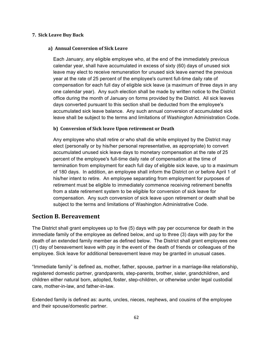### **7. Sick Leave Buy Back**

### **a) Annual Conversion of Sick Leave**

Each January, any eligible employee who, at the end of the immediately previous calendar year, shall have accumulated in excess of sixty (60) days of unused sick leave may elect to receive remuneration for unused sick leave earned the previous year at the rate of 25 percent of the employee's current full-time daily rate of compensation for each full day of eligible sick leave (a maximum of three days in any one calendar year). Any such election shall be made by written notice to the District office during the month of January on forms provided by the District. All sick leaves days converted pursuant to this section shall be deducted from the employee's accumulated sick leave balance. Any such annual conversion of accumulated sick leave shall be subject to the terms and limitations of Washington Administration Code.

### **b)** Conversion of Sick leave Upon retirement or Death

Any employee who shall retire or who shall die while employed by the District may elect (personally or by his/her personal representative, as appropriate) to convert accumulated unused sick leave days to monetary compensation at the rate of 25 percent of the employee's full-time daily rate of compensation at the time of termination from employment for each full day of eligible sick leave, up to a maximum of 180 days. In addition, an employee shall inform the District on or before April 1 of his/her intent to retire. An employee separating from employment for purposes of retirement must be eligible to immediately commence receiving retirement benefits from a state retirement system to be eligible for conversion of sick leave for compensation. Any such conversion of sick leave upon retirement or death shall be subject to the terms and limitations of Washington Administrative Code.

# **Section B. Bereavement**

The District shall grant employees up to five (5) days with pay per occurrence for death in the immediate family of the employee as defined below, and up to three (3) days with pay for the death of an extended family member as defined below. The District shall grant employees one (1) day of bereavement leave with pay in the event of the death of friends or colleagues of the employee. Sick leave for additional bereavement leave may be granted in unusual cases.

"Immediate family" is defined as, mother, father, spouse, partner in a marriage-like relationship, registered domestic partner, grandparents, step-parents, brother, sister, grandchildren, and children either natural born, adopted, foster, step-children, or otherwise under legal custodial care, mother-in-law, and father-in-law.

Extended family is defined as: aunts, uncles, nieces, nephews, and cousins of the employee and their spouse/domestic partner.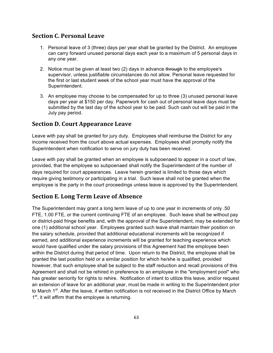# **Section C. Personal Leave**

- 1. Personal leave of 3 (three) days per year shall be granted by the District. An employee can carry forward unused personal days each year to a maximum of 5 personal days in any one year.
- 2. Notice must be given at least two (2) days in advance through to the employee's supervisor, unless justifiable circumstances do not allow. Personal leave requested for the first or last student week of the school year must have the approval of the Superintendent.
- 3. An employee may choose to be compensated for up to three (3) unused personal leave days per year at \$150 per day. Paperwork for cash out of personal leave days must be submitted by the last day of the school year to be paid. Such cash out will be paid in the July pay period.

# **Section D. Court Appearance Leave**

Leave with pay shall be granted for jury duty. Employees shall reimburse the District for any income received from the court above actual expenses. Employees shall promptly notify the Superintendent when notification to serve on jury duty has been received.

Leave with pay shall be granted when an employee is subpoenaed to appear in a court of law, provided, that the employee so subpoenaed shall notify the Superintendent of the number of days required for court appearances. Leave herein granted is limited to those days which require giving testimony or participating in a trial. Such leave shall not be granted when the employee is the party in the court proceedings unless leave is approved by the Superintendent.

# **Section E. Long Term Leave of Absence**

The Superintendent may grant a long term leave of up to one year in increments of only .50 FTE, 1.00 FTE, or the current continuing FTE of an employee. Such leave shall be without pay or district-paid fringe benefits and, with the approval of the Superintendent, may be extended for one (1) additional school year. Employees granted such leave shall maintain their position on the salary schedule, provided that additional educational increments will be recognized if earned, and additional experience increments will be granted for teaching experience which would have qualified under the salary provisions of this Agreement had the employee been within the District during that period of time. Upon return to the District, the employee shall be granted the last position held or a similar position for which he/she is qualified, provided however, that such employee shall be subject to the staff reduction and recall provisions of this Agreement and shall not be rehired in preference to an employee in the "employment pool" who has greater seniority for rights to rehire. Notification of intent to utilize this leave, and/or request an extension of leave for an additional year, must be made in writing to the Superintendent prior to March 1<sup>st</sup>. After the leave, if written notification is not received in the District Office by March  $1<sup>st</sup>$ , it will affirm that the employee is returning.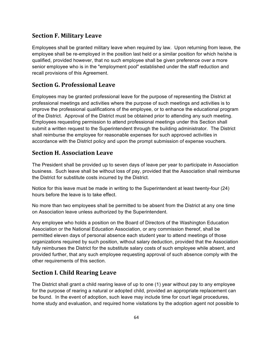# **Section F. Military Leave**

Employees shall be granted military leave when required by law. Upon returning from leave, the employee shall be re-employed in the position last held or a similar position for which he/she is qualified, provided however, that no such employee shall be given preference over a more senior employee who is in the "employment pool" established under the staff reduction and recall provisions of this Agreement.

# **Section G. Professional Leave**

Employees may be granted professional leave for the purpose of representing the District at professional meetings and activities where the purpose of such meetings and activities is to improve the professional qualifications of the employee, or to enhance the educational program of the District. Approval of the District must be obtained prior to attending any such meeting. Employees requesting permission to attend professional meetings under this Section shall submit a written request to the Superintendent through the building administrator. The District shall reimburse the employee for reasonable expenses for such approved activities in accordance with the District policy and upon the prompt submission of expense vouchers.

# **Section H. Association Leave**

The President shall be provided up to seven days of leave per year to participate in Association business. Such leave shall be without loss of pay, provided that the Association shall reimburse the District for substitute costs incurred by the District.

Notice for this leave must be made in writing to the Superintendent at least twenty-four (24) hours before the leave is to take effect.

No more than two employees shall be permitted to be absent from the District at any one time on Association leave unless authorized by the Superintendent.

Any employee who holds a position on the Board of Directors of the Washington Education Association or the National Education Association, or any commission thereof, shall be permitted eleven days of personal absence each student year to attend meetings of those organizations required by such position, without salary deduction, provided that the Association fully reimburses the District for the substitute salary costs of such employee while absent, and provided further, that any such employee requesting approval of such absence comply with the other requirements of this section.

# **Section I. Child Rearing Leave**

The District shall grant a child rearing leave of up to one (1) year without pay to any employee for the purpose of rearing a natural or adopted child, provided an appropriate replacement can be found. In the event of adoption, such leave may include time for court legal procedures, home study and evaluation, and required home visitations by the adoption agent not possible to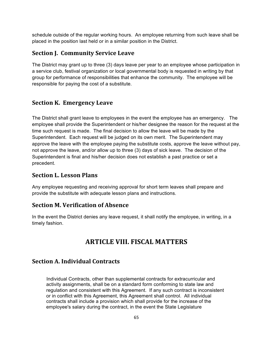schedule outside of the regular working hours. An employee returning from such leave shall be placed in the position last held or in a similar position in the District.

# **Section J. Community Service Leave**

The District may grant up to three (3) days leave per year to an employee whose participation in a service club, festival organization or local governmental body is requested in writing by that group for performance of responsibilities that enhance the community. The employee will be responsible for paying the cost of a substitute.

# **Section K. Emergency Leave**

The District shall grant leave to employees in the event the employee has an emergency. The employee shall provide the Superintendent or his/her designee the reason for the request at the time such request is made. The final decision to allow the leave will be made by the Superintendent. Each request will be judged on its own merit. The Superintendent may approve the leave with the employee paying the substitute costs, approve the leave without pay, not approve the leave, and/or allow up to three (3) days of sick leave. The decision of the Superintendent is final and his/her decision does not establish a past practice or set a precedent.

# **Section L. Lesson Plans**

Any employee requesting and receiving approval for short term leaves shall prepare and provide the substitute with adequate lesson plans and instructions.

# **Section M. Verification of Absence**

In the event the District denies any leave request, it shall notify the employee, in writing, in a timely fashion.

# **ARTICLE VIII. FISCAL MATTERS**

# **Section A. Individual Contracts**

Individual Contracts, other than supplemental contracts for extracurricular and activity assignments, shall be on a standard form conforming to state law and regulation and consistent with this Agreement. If any such contract is inconsistent or in conflict with this Agreement, this Agreement shall control. All individual contracts shall include a provision which shall provide for the increase of the employee's salary during the contract, in the event the State Legislature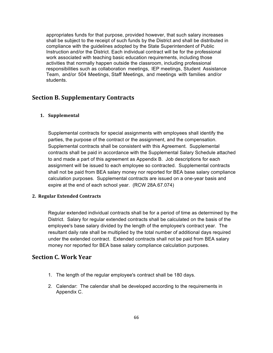appropriates funds for that purpose, provided however, that such salary increases shall be subject to the receipt of such funds by the District and shall be distributed in compliance with the guidelines adopted by the State Superintendent of Public Instruction and/or the District. Each individual contract will be for the professional work associated with teaching basic education requirements, including those activities that normally happen outside the classroom, including professional responsibilities such as collaboration meetings, IEP meetings, Student Assistance Team, and/or 504 Meetings, Staff Meetings, and meetings with families and/or students.

# **Section B. Supplementary Contracts**

# **1. Supplemental**

Supplemental contracts for special assignments with employees shall identify the parties, the purpose of the contract or the assignment, and the compensation. Supplemental contracts shall be consistent with this Agreement. Supplemental contracts shall be paid in accordance with the Supplemental Salary Schedule attached to and made a part of this agreement as Appendix B. Job descriptions for each assignment will be issued to each employee so contracted. Supplemental contracts shall not be paid from BEA salary money nor reported for BEA base salary compliance calculation purposes. Supplemental contracts are issued on a one-year basis and expire at the end of each school year. (RCW 28A.67.074)

## **2. Regular Extended Contracts**

Regular extended individual contracts shall be for a period of time as determined by the District. Salary for regular extended contracts shall be calculated on the basis of the employee's base salary divided by the length of the employee's contract year. The resultant daily rate shall be multiplied by the total number of additional days required under the extended contract. Extended contracts shall not be paid from BEA salary money nor reported for BEA base salary compliance calculation purposes.

# **Section C. Work Year**

- 1. The length of the regular employee's contract shall be 180 days.
- 2. Calendar: The calendar shall be developed according to the requirements in Appendix C.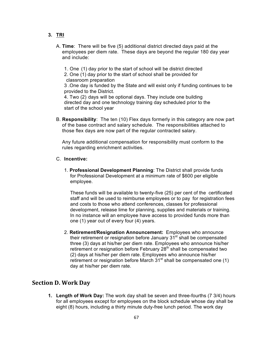- **3. TRI**
	- A. **Time**: There will be five (5) additional district directed days paid at the employees per diem rate. These days are beyond the regular 180 day year and include:
		- 1. One (1) day prior to the start of school will be district directed
		- 2. One (1) day prior to the start of school shall be provided for classroom preparation

3 .One day is funded by the State and will exist only if funding continues to be provided to the District.

4. Two (2) days will be optional days. They include one building directed day and one technology training day scheduled prior to the start of the school year

B. **Responsibility**: The ten (10) Flex days formerly in this category are now part of the base contract and salary schedule. The responsibilities attached to those flex days are now part of the regular contracted salary.

Any future additional compensation for responsibility must conform to the rules regarding enrichment activities.

#### C. **Incentive:**

1. **Professional Development Planning**: The District shall provide funds for Professional Development at a minimum rate of \$600 per eligible employee.

These funds will be available to twenty-five (25) per cent of the certificated staff and will be used to reimburse employees or to pay for registration fees and costs to those who attend conferences, classes for professional development, release lime for planning, supplies and materials or training. In no instance will an employee have access to provided funds more than one (1) year out of every four (4) years.

2. **Retirement/Resignation Announcement:** Employees who announce their retirement or resignation before January 31<sup>st</sup> shall be compensated three (3) days at his/her per diem rate. Employees who announce his/her retirement or resignation before February  $28<sup>th</sup>$  shall be compensated two (2) days at his/her per diem rate. Employees who announce his/her retirement or resignation before March  $31<sup>st</sup>$  shall be compensated one (1) day at his/her per diem rate.

# **Section D. Work Day**

**1. Length of Work Day:** The work day shall be seven and three-fourths (7 3/4) hours for all employees except for employees on the block schedule whose day shall be eight (8) hours, including a thirty minute duty-free lunch period. The work day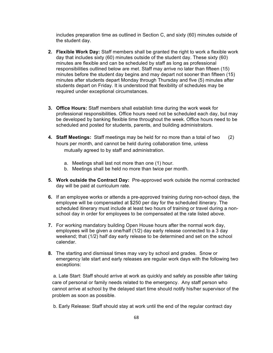includes preparation time as outlined in Section C, and sixty (60) minutes outside of the student day.

- **2. Flexible Work Day:** Staff members shall be granted the right to work a flexible work day that includes sixty (60) minutes outside of the student day. These sixty (60) minutes are flexible and can be scheduled by staff as long as professional responsibilities outlined below are met. Staff may arrive no later than fifteen (15) minutes before the student day begins and may depart not sooner than fifteen (15) minutes after students depart Monday through Thursday and five (5) minutes after students depart on Friday. It is understood that flexibility of schedules may be required under exceptional circumstances.
- **3. Office Hours:** Staff members shall establish time during the work week for professional responsibilities. Office hours need not be scheduled each day, but may be developed by banking flexible time throughout the week. Office hours need to be scheduled and posted for students, parents, and building administrators.
- **4. Staff Meetings:** Staff meetings may be held for no more than a total of two (2) hours per month, and cannot be held during collaboration time, unless mutually agreed to by staff and administration.
	- a. Meetings shall last not more than one (1) hour.
	- b. Meetings shall be held no more than twice per month.
- **5. Work outside the Contract Day:** Pre-approved work outside the normal contracted day will be paid at curriculum rate.
- **6.** If an employee works or attends a pre-approved training during non-school days, the employee will be compensated at \$250 per day for the scheduled itinerary. The scheduled itinerary must include at least two hours of training or travel during a nonschool day in order for employees to be compensated at the rate listed above.
- **7.** For working mandatory building Open House hours after the normal work day, employees will be given a one/half (1/2) day early release connected to a 3 day weekend; that (1/2) half day early release to be determined and set on the school calendar.
- **8.** The starting and dismissal times may vary by school and grades. Snow or emergency late start and early releases are regular work days with the following two exceptions:

a. Late Start: Staff should arrive at work as quickly and safely as possible after taking care of personal or family needs related to the emergency. Any staff person who cannot arrive at school by the delayed start time should notify his/her supervisor of the problem as soon as possible.

b. Early Release: Staff should stay at work until the end of the regular contract day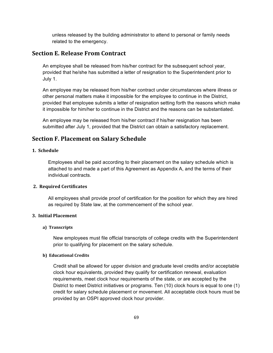unless released by the building administrator to attend to personal or family needs related to the emergency.

# **Section E. Release From Contract**

An employee shall be released from his/her contract for the subsequent school year, provided that he/she has submitted a letter of resignation to the Superintendent prior to July 1.

An employee may be released from his/her contract under circumstances where illness or other personal matters make it impossible for the employee to continue in the District, provided that employee submits a letter of resignation setting forth the reasons which make it impossible for him/her to continue in the District and the reasons can be substantiated.

An employee may be released from his/her contract if his/her resignation has been submitted after July 1, provided that the District can obtain a satisfactory replacement.

# **Section F. Placement on Salary Schedule**

### **1. Schedule**

Employees shall be paid according to their placement on the salary schedule which is attached to and made a part of this Agreement as Appendix A, and the terms of their individual contracts.

# **2. Required Certificates**

All employees shall provide proof of certification for the position for which they are hired as required by State law, at the commencement of the school year.

# **3. Initial Placement**

### a) Transcripts

New employees must file official transcripts of college credits with the Superintendent prior to qualifying for placement on the salary schedule.

### **b)** Educational Credits

Credit shall be allowed for upper division and graduate level credits and/or acceptable clock hour equivalents, provided they qualify for certification renewal, evaluation requirements, meet clock hour requirements of the state, or are accepted by the District to meet District initiatives or programs. Ten (10) clock hours is equal to one (1) credit for salary schedule placement or movement. All acceptable clock hours must be provided by an OSPI approved clock hour provider.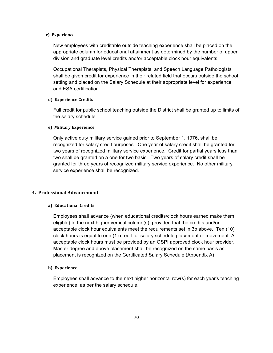### **c**) Experience

New employees with creditable outside teaching experience shall be placed on the appropriate column for educational attainment as determined by the number of upper division and graduate level credits and/or acceptable clock hour equivalents

Occupational Therapists, Physical Therapists, and Speech Language Pathologists shall be given credit for experience in their related field that occurs outside the school setting and placed on the Salary Schedule at their appropriate level for experience and ESA certification.

### **d) Experience Credits**

Full credit for public school teaching outside the District shall be granted up to limits of the salary schedule.

### **e) Military Experience**

Only active duty military service gained prior to September 1, 1976, shall be recognized for salary credit purposes. One year of salary credit shall be granted for two years of recognized military service experience. Credit for partial years less than two shall be granted on a one for two basis. Two years of salary credit shall be granted for three years of recognized military service experience. No other military service experience shall be recognized.

### **4. Professional Advancement**

#### **a) Educational Credits**

Employees shall advance (when educational credits/clock hours earned make them eligible) to the next higher vertical column(s), provided that the credits and/or acceptable clock hour equivalents meet the requirements set in 3b above. Ten (10) clock hours is equal to one (1) credit for salary schedule placement or movement. All acceptable clock hours must be provided by an OSPI approved clock hour provider. Master degree and above placement shall be recognized on the same basis as placement is recognized on the Certificated Salary Schedule (Appendix A)

#### **b**) Experience

Employees shall advance to the next higher horizontal row(s) for each year's teaching experience, as per the salary schedule.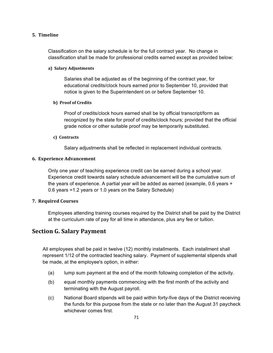### **5. Timeline**

Classification on the salary schedule is for the full contract year. No change in classification shall be made for professional credits earned except as provided below:

#### **a) Salary Adjustments**

Salaries shall be adjusted as of the beginning of the contract year, for educational credits/clock hours earned prior to September 10, provided that notice is given to the Superintendent on or before September 10.

### **b)** Proof of Credits

Proof of credits/clock hours earned shall be by official transcript/form as recognized by the state for proof of credits/clock hours; provided that the official grade notice or other suitable proof may be temporarily substituted.

## **c) Contracts**

Salary adjustments shall be reflected in replacement individual contracts.

#### **6. Experience Advancement**

Only one year of teaching experience credit can be earned during a school year. Experience credit towards salary schedule advancement will be the cumulative sum of the years of experience. A partial year will be added as earned (example, 0.6 years + 0.6 years =1.2 years or 1.0 years on the Salary Schedule)

#### **7. Required Courses**

Employees attending training courses required by the District shall be paid by the District at the curriculum rate of pay for all time in attendance, plus any fee or tuition.

# **Section G. Salary Payment**

All employees shall be paid in twelve (12) monthly installments. Each installment shall represent 1/12 of the contracted teaching salary. Payment of supplemental stipends shall be made, at the employee's option, in either:

- (a) lump sum payment at the end of the month following completion of the activity.
- (b) equal monthly payments commencing with the first month of the activity and terminating with the August payroll.
- (c) National Board stipends will be paid within forty-five days of the District receiving the funds for this purpose from the state or no later than the August 31 paycheck whichever comes first.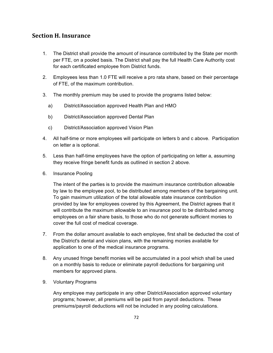# **Section H. Insurance**

- 1. The District shall provide the amount of insurance contributed by the State per month per FTE, on a pooled basis. The District shall pay the full Health Care Authority cost for each certificated employee from District funds.
- 2. Employees less than 1.0 FTE will receive a pro rata share, based on their percentage of FTE, of the maximum contribution.
- 3. The monthly premium may be used to provide the programs listed below:
	- a) District/Association approved Health Plan and HMO
	- b) District/Association approved Dental Plan
	- c) District/Association approved Vision Plan
- 4. All half-time or more employees will participate on letters b and c above. Participation on letter a is optional.
- 5. Less than half-time employees have the option of participating on letter a, assuming they receive fringe benefit funds as outlined in section 2 above.
- 6. Insurance Pooling

The intent of the parties is to provide the maximum insurance contribution allowable by law to the employee pool, to be distributed among members of the bargaining unit. To gain maximum utilization of the total allowable state insurance contribution provided by law for employees covered by this Agreement, the District agrees that it will contribute the maximum allowable to an insurance pool to be distributed among employees on a fair share basis, to those who do not generate sufficient monies to cover the full cost of medical coverage.

- 7. From the dollar amount available to each employee, first shall be deducted the cost of the District's dental and vision plans, with the remaining monies available for application to one of the medical insurance programs.
- 8. Any unused fringe benefit monies will be accumulated in a pool which shall be used on a monthly basis to reduce or eliminate payroll deductions for bargaining unit members for approved plans.
- 9. Voluntary Programs

Any employee may participate in any other District/Association approved voluntary programs; however, all premiums will be paid from payroll deductions. These premiums/payroll deductions will not be included in any pooling calculations.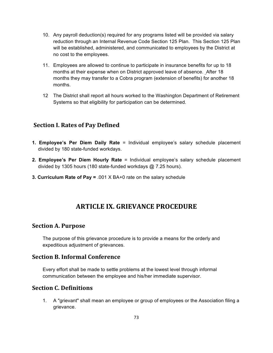- 10. Any payroll deduction(s) required for any programs listed will be provided via salary reduction through an Internal Revenue Code Section 125 Plan. This Section 125 Plan will be established, administered, and communicated to employees by the District at no cost to the employees.
- 11. Employees are allowed to continue to participate in insurance benefits for up to 18 months at their expense when on District approved leave of absence. After 18 months they may transfer to a Cobra program (extension of benefits) for another 18 months.
- 12 The District shall report all hours worked to the Washington Department of Retirement Systems so that eligibility for participation can be determined.

## **Section I. Rates of Pay Defined**

- **1. Employee's Per Diem Daily Rate** = Individual employee's salary schedule placement divided by 180 state-funded workdays.
- **2. Employee's Per Diem Hourly Rate** = Individual employee's salary schedule placement divided by 1305 hours (180 state-funded workdays @ 7.25 hours).
- **3. Curriculum Rate of Pay =** .001 X BA+0 rate on the salary schedule

# **ARTICLE IX. GRIEVANCE PROCEDURE**

## **Section A. Purpose**

The purpose of this grievance procedure is to provide a means for the orderly and expeditious adjustment of grievances.

## **Section B. Informal Conference**

Every effort shall be made to settle problems at the lowest level through informal communication between the employee and his/her immediate supervisor.

## **Section C. Definitions**

1. A "grievant" shall mean an employee or group of employees or the Association filing a grievance.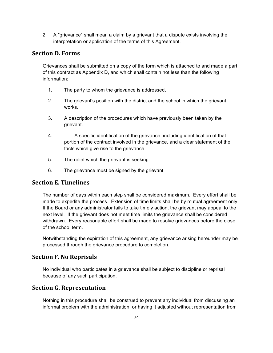2. A "grievance" shall mean a claim by a grievant that a dispute exists involving the interpretation or application of the terms of this Agreement.

## **Section D. Forms**

Grievances shall be submitted on a copy of the form which is attached to and made a part of this contract as Appendix D, and which shall contain not less than the following information:

- 1. The party to whom the grievance is addressed.
- 2. The grievant's position with the district and the school in which the grievant works.
- 3. A description of the procedures which have previously been taken by the grievant.
- 4. A specific identification of the grievance, including identification of that portion of the contract involved in the grievance, and a clear statement of the facts which give rise to the grievance.
- 5. The relief which the grievant is seeking.
- 6. The grievance must be signed by the grievant.

## **Section E. Timelines**

The number of days within each step shall be considered maximum. Every effort shall be made to expedite the process. Extension of time limits shall be by mutual agreement only. If the Board or any administrator fails to take timely action, the grievant may appeal to the next level. If the grievant does not meet time limits the grievance shall be considered withdrawn. Every reasonable effort shall be made to resolve grievances before the close of the school term.

Notwithstanding the expiration of this agreement, any grievance arising hereunder may be processed through the grievance procedure to completion.

# **Section F. No Reprisals**

No individual who participates in a grievance shall be subject to discipline or reprisal because of any such participation.

# **Section G. Representation**

Nothing in this procedure shall be construed to prevent any individual from discussing an informal problem with the administration, or having it adjusted without representation from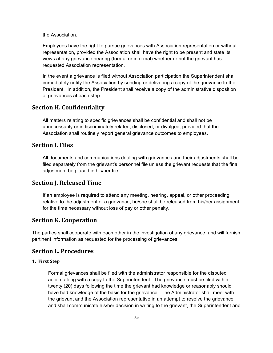the Association.

Employees have the right to pursue grievances with Association representation or without representation, provided the Association shall have the right to be present and state its views at any grievance hearing (formal or informal) whether or not the grievant has requested Association representation.

In the event a grievance is filed without Association participation the Superintendent shall immediately notify the Association by sending or delivering a copy of the grievance to the President. In addition, the President shall receive a copy of the administrative disposition of grievances at each step.

## **Section H. Confidentiality**

All matters relating to specific grievances shall be confidential and shall not be unnecessarily or indiscriminately related, disclosed, or divulged, provided that the Association shall routinely report general grievance outcomes to employees.

## **Section I. Files**

All documents and communications dealing with grievances and their adjustments shall be filed separately from the grievant's personnel file unless the grievant requests that the final adjustment be placed in his/her file.

### **Section J. Released Time**

If an employee is required to attend any meeting, hearing, appeal, or other proceeding relative to the adjustment of a grievance, he/she shall be released from his/her assignment for the time necessary without loss of pay or other penalty.

### **Section K. Cooperation**

The parties shall cooperate with each other in the investigation of any grievance, and will furnish pertinent information as requested for the processing of grievances.

## **Section L. Procedures**

#### **1. First Step**

Formal grievances shall be filed with the administrator responsible for the disputed action, along with a copy to the Superintendent. The grievance must be filed within twenty (20) days following the time the grievant had knowledge or reasonably should have had knowledge of the basis for the grievance. The Administrator shall meet with the grievant and the Association representative in an attempt to resolve the grievance and shall communicate his/her decision in writing to the grievant, the Superintendent and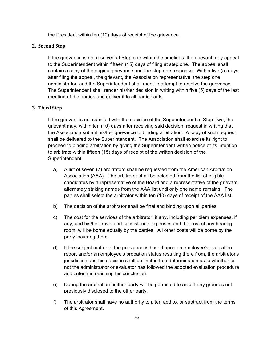the President within ten (10) days of receipt of the grievance.

#### **2. Second Step**

If the grievance is not resolved at Step one within the timelines, the grievant may appeal to the Superintendent within fifteen (15) days of filing at step one. The appeal shall contain a copy of the original grievance and the step one response. Within five (5) days after filing the appeal, the grievant, the Association representative, the step one administrator, and the Superintendent shall meet to attempt to resolve the grievance. The Superintendent shall render his/her decision in writing within five (5) days of the last meeting of the parties and deliver it to all participants.

#### **3. Third Step**

If the grievant is not satisfied with the decision of the Superintendent at Step Two, the grievant may, within ten (10) days after receiving said decision, request in writing that the Association submit his/her grievance to binding arbitration. A copy of such request shall be delivered to the Superintendent. The Association shall exercise its right to proceed to binding arbitration by giving the Superintendent written notice of its intention to arbitrate within fifteen (15) days of receipt of the written decision of the Superintendent.

- a) A list of seven (7) arbitrators shall be requested from the American Arbitration Association (AAA). The arbitrator shall be selected from the list of eligible candidates by a representative of the Board and a representative of the grievant alternately striking names from the AAA list until only one name remains. The parties shall select the arbitrator within ten (10) days of receipt of the AAA list.
- b) The decision of the arbitrator shall be final and binding upon all parties.
- c) The cost for the services of the arbitrator, if any, including per diem expenses, if any, and his/her travel and subsistence expenses and the cost of any hearing room, will be borne equally by the parties. All other costs will be borne by the party incurring them.
- d) If the subject matter of the grievance is based upon an employee's evaluation report and/or an employee's probation status resulting there from, the arbitrator's jurisdiction and his decision shall be limited to a determination as to whether or not the administrator or evaluator has followed the adopted evaluation procedure and criteria in reaching his conclusion.
- e) During the arbitration neither party will be permitted to assert any grounds not previously disclosed to the other party.
- f) The arbitrator shall have no authority to alter, add to, or subtract from the terms of this Agreement.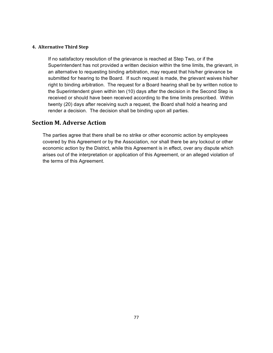#### **4. Alternative Third Step**

If no satisfactory resolution of the grievance is reached at Step Two, or if the Superintendent has not provided a written decision within the time limits, the grievant, in an alternative to requesting binding arbitration, may request that his/her grievance be submitted for hearing to the Board. If such request is made, the grievant waives his/her right to binding arbitration. The request for a Board hearing shall be by written notice to the Superintendent given within ten (10) days after the decision in the Second Step is received or should have been received according to the time limits prescribed. Within twenty (20) days after receiving such a request, the Board shall hold a hearing and render a decision. The decision shall be binding upon all parties.

## **Section M. Adverse Action**

The parties agree that there shall be no strike or other economic action by employees covered by this Agreement or by the Association, nor shall there be any lockout or other economic action by the District, while this Agreement is in effect, over any dispute which arises out of the interpretation or application of this Agreement, or an alleged violation of the terms of this Agreement.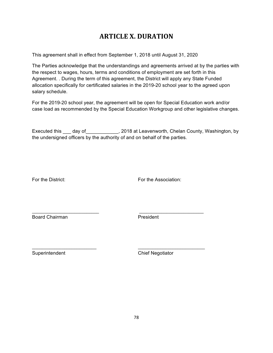# **ARTICLE X. DURATION**

This agreement shall in effect from September 1, 2018 until August 31, 2020

The Parties acknowledge that the understandings and agreements arrived at by the parties with the respect to wages, hours, terms and conditions of employment are set forth in this Agreement. . During the term of this agreement, the District will apply any State Funded allocation specifically for certificated salaries in the 2019-20 school year to the agreed upon salary schedule.

For the 2019-20 school year, the agreement will be open for Special Education work and/or case load as recommended by the Special Education Workgroup and other legislative changes.

Executed this \_\_\_ day of \_\_\_\_\_\_\_\_\_\_\_\_, 2018 at Leavenworth, Chelan County, Washington, by the undersigned officers by the authority of and on behalf of the parties.

For the District: For the Association:

Board Chairman **President** 

 $\mathcal{L}_\text{max}$  , and the set of the set of the set of the set of the set of the set of the set of the set of the set of the set of the set of the set of the set of the set of the set of the set of the set of the set of the

\_\_\_\_\_\_\_\_\_\_\_\_\_\_\_\_\_\_\_\_\_\_\_\_\_\_ \_\_\_\_\_\_\_\_\_\_\_\_\_\_\_\_\_\_\_\_\_\_\_\_\_\_\_

Superintendent Chief Negotiator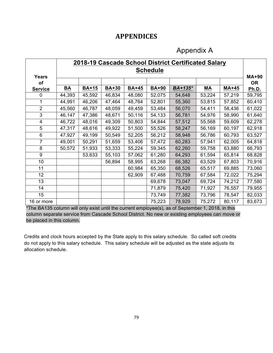# **APPENDICES**

# Appendix A

|                | 2018-19 Cascade School District Certificated Salary |              |              |              |                 |         |        |              |              |
|----------------|-----------------------------------------------------|--------------|--------------|--------------|-----------------|---------|--------|--------------|--------------|
|                |                                                     |              |              |              | <b>Schedule</b> |         |        |              |              |
| <b>Years</b>   |                                                     |              |              |              |                 |         |        |              | <b>MA+90</b> |
| οf             |                                                     |              |              |              |                 |         |        |              | <b>OR</b>    |
| <b>Service</b> | BA                                                  | <b>BA+15</b> | <b>BA+30</b> | <b>BA+45</b> | <b>BA+90</b>    | BA+135* | МA     | <b>MA+45</b> | Ph.D.        |
| $\Omega$       | 44,393                                              | 45,592       | 46,834       | 48,080       | 52,075          | 54,648  | 53,224 | 57,219       | 59,795       |
| 1              | 44,991                                              | 46,206       | 47,464       | 48,764       | 52,801          | 55,360  | 53,815 | 57,852       | 60,410       |
| $\overline{2}$ | 45,560                                              | 46,787       | 48,059       | 49,459       | 53,484          | 56,070  | 54,411 | 58,436       | 61,022       |
| 3              | 46,147                                              | 47,386       | 48,671       | 50,116       | 54,133          | 56,781  | 54,976 | 58,990       | 61,640       |
| $\overline{4}$ | 46,722                                              | 48,016       | 49,309       | 50,803       | 54,844          | 57,512  | 55,568 | 59,609       | 62,278       |
| 5              | 47,317                                              | 48,616       | 49,922       | 51,500       | 55,526          | 58,247  | 56,169 | 60,197       | 62,918       |
| 6              | 47,927                                              | 49,199       | 50,549       | 52,205       | 56,212          | 58,948  | 56,786 | 60,793       | 63,527       |
| $\overline{7}$ | 49,001                                              | 50,291       | 51,659       | 53,406       | 57,472          | 60,283  | 57,941 | 62,005       | 64,818       |
| 8              | 50,572                                              | 51,933       | 53,333       | 55,224       | 59,345          | 62,260  | 59,758 | 63,880       | 66,793       |
| 9              |                                                     | 53,633       | 55,103       | 57,062       | 61,280          | 64,293  | 61,594 | 65,814       | 68,828       |
| 10             |                                                     |              | 56,894       | 58,995       | 63,268          | 66,382  | 63,529 | 67,803       | 70,916       |
| 11             |                                                     |              |              | 60,984       | 65,350          | 68,526  | 65,517 | 69,885       | 73,060       |
| 12             |                                                     |              |              | 62,909       | 67,488          | 70,759  | 67,584 | 72,022       | 75,294       |
| 13             |                                                     |              |              |              | 69,678          | 73,047  | 69,724 | 74,212       | 77,580       |
| 14             |                                                     |              |              |              | 71,879          | 75,420  | 71,927 | 76,557       | 79,955       |
| 15             |                                                     |              |              |              | 73,749          | 77,382  | 73,796 | 78,547       | 82,033       |
| 16 or more     |                                                     |              |              |              | 75,223          | 78,929  | 75,272 | 80,117       | 83,673       |

\*The BA135 column will only exist until the current employee(s), as of September 1, 2018, in this column separate service from Cascade School District. No new or existing employees can move or be placed in this column.

Credits and clock hours accepted by the State apply to this salary schedule. So called soft credits do not apply to this salary schedule. This salary schedule will be adjusted as the state adjusts its allocation schedule.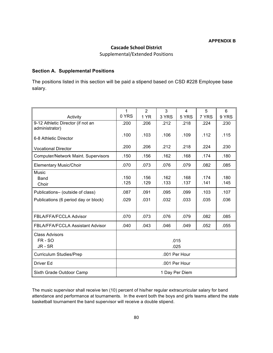#### **Cascade School District**

Supplemental/Extended Positions

#### **Section A. Supplemental Positions**

The positions listed in this section will be paid a stipend based on CSD #228 Employee base salary.

|                                                     | $\mathbf{1}$   | 2    | 3     | 4     | 5     | 6     |
|-----------------------------------------------------|----------------|------|-------|-------|-------|-------|
| Activity                                            | 0 YRS          | 1 YR | 3 YRS | 5 YRS | 7 YRS | 9 YRS |
| 9-12 Athletic Director (if not an<br>administrator) | .200           | .206 | .212  | .218  | .224  | .230  |
| 6-8 Athletic Director                               | .100           | .103 | .106  | .109  | .112  | .115  |
| <b>Vocational Director</b>                          | .200           | .206 | .212  | .218  | .224  | .230  |
| <b>Computer/Network Maint. Supervisors</b>          | .150           | .156 | .162  | .168  | .174  | .180  |
| <b>Elementary Music/Choir</b>                       | .070           | .073 | .076  | .079  | .082  | .085  |
| Music                                               |                |      |       |       |       |       |
| Band                                                | .150           | .156 | .162  | .168  | .174  | .180  |
| Choir                                               | .125           | .129 | .133  | .137  | .141  | .145  |
| Publications- (outside of class)                    | .087           | .091 | .095  | .099  | .103  | .107  |
| Publications (6 period day or block)                | .029           | .031 | .032  | .033  | .035  | .036  |
|                                                     |                |      |       |       |       |       |
| FBLA/FFA/FCCLA Advisor                              | .070           | .073 | .076  | .079  | .082  | .085  |
| <b>FBLA/FFA/FCCLA Assistant Advisor</b>             | .040           | .043 | .046  | .049  | .052  | .055  |
| <b>Class Advisors</b>                               |                |      |       |       |       |       |
| FR-SO                                               | .015           |      |       |       |       |       |
| JR - SR                                             | .025           |      |       |       |       |       |
| <b>Curriculum Studies/Prep</b>                      | .001 Per Hour  |      |       |       |       |       |
| Driver Ed                                           | .001 Per Hour  |      |       |       |       |       |
| Sixth Grade Outdoor Camp                            | 1 Day Per Diem |      |       |       |       |       |

The music supervisor shall receive ten (10) percent of his/her regular extracurricular salary for band attendance and performance at tournaments. In the event both the boys and girls teams attend the state basketball tournament the band supervisor will receive a double stipend.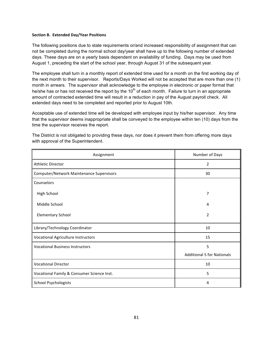#### **Section B. Extended Day/Year Positions**

The following positions due to state requirements or/and increased responsibility of assignment that can not be completed during the normal school day/year shall have up to the following number of extended days. These days are on a yearly basis dependent on availability of funding. Days may be used from August 1, preceding the start of the school year, through August 31 of the subsequent year.

The employee shall turn in a monthly report of extended time used for a month on the first working day of the next month to their supervisor. Reports/Days Worked will not be accepted that are more than one (1) month in arrears. The supervisor shall acknowledge to the employee in electronic or paper format that he/she has or has not received the report by the  $10<sup>th</sup>$  of each month. Failure to turn in an appropriate amount of contracted extended time will result in a reduction in pay of the August payroll check. All extended days need to be completed and reported prior to August 10th.

Acceptable use of extended time will be developed with employee input by his/her supervisor. Any time that the supervisor deems inappropriate shall be conveyed to the employee within ten (10) days from the time the supervisor receives the report.

| Assignment                                 | Number of Days                    |
|--------------------------------------------|-----------------------------------|
| Athletic Director                          | 2                                 |
| Computer/Network Maintenance Supervisors   | 30                                |
| Counselors                                 |                                   |
| High School                                | 7                                 |
| Middle School                              | 4                                 |
| <b>Elementary School</b>                   | 2                                 |
| Library/Technology Coordinator             | 10                                |
| <b>Vocational Agriculture Instructors</b>  | 15                                |
| <b>Vocational Business Instructors</b>     | 5                                 |
|                                            | <b>Additional 5 for Nationals</b> |
| <b>Vocational Director</b>                 | 10                                |
| Vocational Family & Consumer Science Inst. | 5                                 |
| <b>School Psychologists</b>                | 4                                 |

The District is not obligated to providing these days, nor does it prevent them from offering more days with approval of the Superintendent.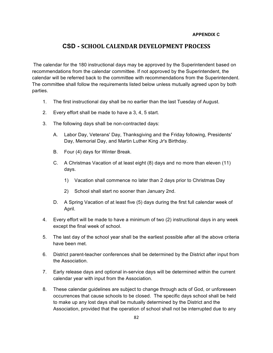#### **APPENDIX C**

## **CSD - SCHOOL CALENDAR DEVELOPMENT PROCESS**

The calendar for the 180 instructional days may be approved by the Superintendent based on recommendations from the calendar committee. If not approved by the Superintendent, the calendar will be referred back to the committee with recommendations from the Superintendent. The committee shall follow the requirements listed below unless mutually agreed upon by both parties.

- 1. The first instructional day shall be no earlier than the last Tuesday of August.
- 2. Every effort shall be made to have a 3, 4, 5 start.
- 3. The following days shall be non-contracted days:
	- A. Labor Day, Veterans' Day, Thanksgiving and the Friday following, Presidents' Day, Memorial Day, and Martin Luther King Jr's Birthday.
	- B. Four (4) days for Winter Break.
	- C. A Christmas Vacation of at least eight (8) days and no more than eleven (11) days.
		- 1) Vacation shall commence no later than 2 days prior to Christmas Day
		- 2) School shall start no sooner than January 2nd.
	- D. A Spring Vacation of at least five (5) days during the first full calendar week of April.
- 4. Every effort will be made to have a minimum of two (2) instructional days in any week except the final week of school.
- 5. The last day of the school year shall be the earliest possible after all the above criteria have been met.
- 6. District parent-teacher conferences shall be determined by the District after input from the Association.
- 7. Early release days and optional in-service days will be determined within the current calendar year with input from the Association.
- 8. These calendar guidelines are subject to change through acts of God, or unforeseen occurrences that cause schools to be closed. The specific days school shall be held to make up any lost days shall be mutually determined by the District and the Association, provided that the operation of school shall not be interrupted due to any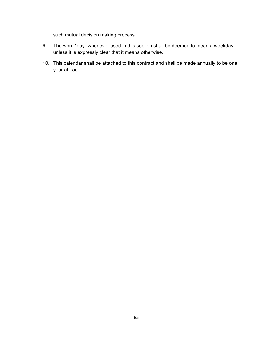such mutual decision making process.

- 9. The word "day" whenever used in this section shall be deemed to mean a weekday unless it is expressly clear that it means otherwise.
- 10. This calendar shall be attached to this contract and shall be made annually to be one year ahead.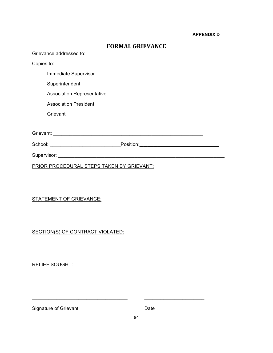#### **APPENDIX D**

| <b>FORMAL GRIEVANCE</b>                   |  |  |  |  |  |
|-------------------------------------------|--|--|--|--|--|
| Grievance addressed to:                   |  |  |  |  |  |
| Copies to:                                |  |  |  |  |  |
| Immediate Supervisor                      |  |  |  |  |  |
| Superintendent                            |  |  |  |  |  |
| <b>Association Representative</b>         |  |  |  |  |  |
| <b>Association President</b>              |  |  |  |  |  |
| Grievant                                  |  |  |  |  |  |
|                                           |  |  |  |  |  |
|                                           |  |  |  |  |  |
| School: Position: Position:               |  |  |  |  |  |
|                                           |  |  |  |  |  |
| PRIOR PROCEDURAL STEPS TAKEN BY GRIEVANT: |  |  |  |  |  |

## STATEMENT OF GRIEVANCE:

SECTION(S) OF CONTRACT VIOLATED:

RELIEF SOUGHT:

Signature of Grievant **Date** 

\_\_\_\_\_\_\_\_\_\_\_\_\_\_\_\_\_\_\_\_\_\_\_\_\_\_\_\_\_\_\_\_\_\_\_ \_\_\_\_\_\_\_\_\_\_\_\_\_\_\_\_\_\_\_\_\_\_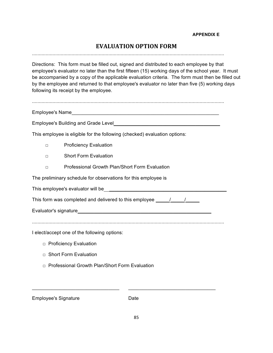# **EVALUATION OPTION FORM**

.............................................................................................................................................

Directions: This form must be filled out, signed and distributed to each employee by that employee's evaluator no later than the first fifteen (15) working days of the school year. It must be accompanied by a copy of the applicable evaluation criteria. The form must then be filled out by the employee and returned to that employee's evaluator no later than five (5) working days following its receipt by the employee.

.............................................................................................................................................

Employee's Name

Employee's Building and Grade Level

This employee is eligible for the following (checked) evaluation options:

- □ Proficiency Evaluation
- □ Short Form Evaluation
- □ Professional Growth Plan/Short Form Evaluation

The preliminary schedule for observations for this employee is

|  | This employee's evaluator will be |  |
|--|-----------------------------------|--|
|--|-----------------------------------|--|

This form was completed and delivered to this employee  $\frac{1}{2}$ 

Evaluator's signature\_\_\_\_\_\_\_\_\_\_\_\_\_\_\_\_\_\_\_\_\_\_\_\_\_\_\_\_\_\_\_\_\_\_\_\_\_\_\_\_\_\_\_\_\_\_\_\_\_

.............................................................................................................................................

I elect/accept one of the following options:

- □ Proficiency Evaluation
- $\Box$  Short Form Evaluation
- □ Professional Growth Plan/Short Form Evaluation

Employee's Signature **Date** 

 $\_$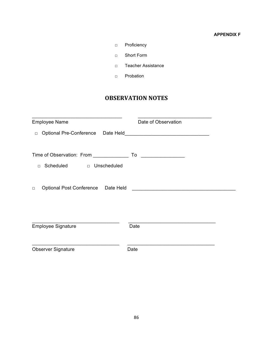#### **APPENDIX F**

- □ Proficiency
- □ Short Form
- □ Teacher Assistance
- □ Probation

# **OBSERVATION NOTES**

| <b>Employee Name</b>                                                            | Date of Observation                                                                                                   |
|---------------------------------------------------------------------------------|-----------------------------------------------------------------------------------------------------------------------|
| $\Box$                                                                          |                                                                                                                       |
| Time of Observation: From _____________<br>Scheduled<br>D Unscheduled<br>$\Box$ |                                                                                                                       |
| Optional Post Conference Date Held<br>$\Box$                                    | <u> 1989 - Andrea State Barbara, amerikan personal di sebagai personal di sebagai personal di sebagai personal di</u> |
| <b>Employee Signature</b>                                                       | Date                                                                                                                  |
| <b>Observer Signature</b>                                                       | Date                                                                                                                  |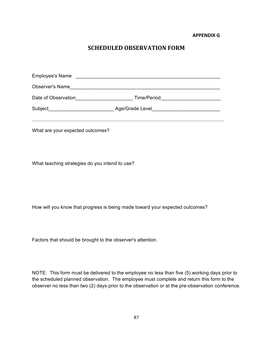**APPENDIX G**

# **SCHEDULED OBSERVATION FORM**

| <b>Employee's Name</b>                                       |                                                   |  |
|--------------------------------------------------------------|---------------------------------------------------|--|
| Observer's Name                                              | <u> 2000 - Jan Barbara (j. 1900)</u>              |  |
| Date of Observation                                          | <u> 1989 - Johann Barbara, martxa alemaniar a</u> |  |
| Subject<br><u> 1989 - Johann Barbara, martxa alemaniar a</u> |                                                   |  |
|                                                              |                                                   |  |
|                                                              |                                                   |  |

What are your expected outcomes?

What teaching strategies do you intend to use?

How will you know that progress is being made toward your expected outcomes?

Factors that should be brought to the observer's attention.

NOTE: This form must be delivered to the employee no less than five (5) working days prior to the scheduled planned observation. The employee must complete and return this form to the observer no less than two (2) days prior to the observation or at the pre-observation conference.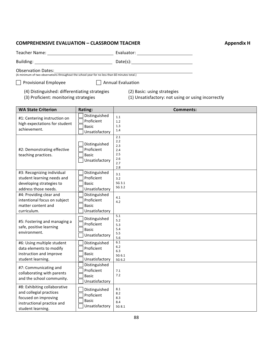### **COMPREHENSIVE EVALUATION – CLASSROOM TEACHER <b>Appendix H** Appendix H

| Teacher Name: | Evaluator: |
|---------------|------------|
| Building:     | Date(s):   |

Observation Dates: (A minimum of two observations throughout the school year for no less than 60 minutes total.)

 $\Box$  Provisional Employee  $\Box$  Annual Evaluation

(4) Distinguished: differentiating strategies (2) Basic: using strategies

(3) Proficient: monitoring strategies (1) Unsatisfactory: not using or using incorrectly

| <b>WA State Criterion</b>                                                                                                          | Rating:                                                       | <b>Comments:</b>                                     |
|------------------------------------------------------------------------------------------------------------------------------------|---------------------------------------------------------------|------------------------------------------------------|
| #1: Centering instruction on<br>high expectations for student<br>achievement.                                                      | Distinguished<br>Proficient<br><b>Basic</b><br>Unsatisfactory | 1.1<br>1.2<br>1.3<br>1.4                             |
| #2: Demonstrating effective<br>teaching practices.                                                                                 | Distinguished<br>Proficient<br><b>Basic</b><br>Unsatisfactory | 2.1<br>2.2<br>2.3<br>2.4<br>2.5<br>2.6<br>2.7<br>2.8 |
| #3: Recognizing individual<br>student learning needs and<br>developing strategies to<br>address those needs.                       | Distinguished<br>Proficient<br><b>Basic</b><br>Unsatisfactory | 3.1<br>3.2<br>SG 3.1<br>SG 3.2                       |
| #4: Providing clear and<br>intentional focus on subject<br>matter content and<br>curriculum.                                       | Distinguished<br>Proficient<br><b>Basic</b><br>Unsatisfactory | 4.1<br>4.2                                           |
| #5: Fostering and managing a<br>safe, positive learning<br>environment.                                                            | Distinguished<br>Proficient<br><b>Basic</b><br>Unsatisfactory | 5.1<br>5.2<br>5.3<br>5.4<br>5.5<br>5.6               |
| #6: Using multiple student<br>data elements to modify<br>instruction and improve<br>student learning.                              | Distinguished<br>Proficient<br><b>Basic</b><br>Unsatisfactory | 6.1<br>6.2<br>6.3<br>SG 6.1<br>SG 6.2                |
| #7: Communicating and<br>collaborating with parents<br>and the school community.                                                   | Distinguished<br>Proficient<br><b>Basic</b><br>Unsatisfactory | 7.1<br>7.2                                           |
| #8: Exhibiting collaborative<br>and collegial practices<br>focused on improving<br>instructional practice and<br>student learning. | Distinguished<br>Proficient<br><b>Basic</b><br>Unsatisfactory | 8.1<br>8.2<br>8.3<br>8.4<br>SG 8.1                   |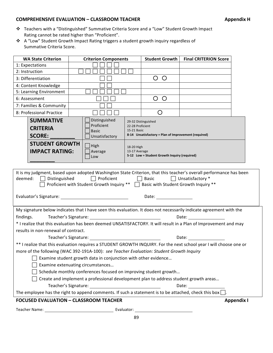#### **COMPREHENSIVE EVALUATION – CLASSROOM TEACHER <b>Appendix H** Appendix H

- ◆ Teachers with a "Distinguished" Summative Criteria Score and a "Low" Student Growth Impact Rating cannot be rated higher than "Proficient".
- ❖ A "Low" Student Growth Impact Rating triggers a student growth inquiry regardless of Summative Criteria Score.

| <b>WA State Criterion</b>                                                                                                                                                                                                                                                                                                                                                                                                              | <b>Criterion Components</b>                   | <b>Student Growth</b>                                  | <b>Final CRITERION Score</b>                         |  |                   |  |
|----------------------------------------------------------------------------------------------------------------------------------------------------------------------------------------------------------------------------------------------------------------------------------------------------------------------------------------------------------------------------------------------------------------------------------------|-----------------------------------------------|--------------------------------------------------------|------------------------------------------------------|--|-------------------|--|
| 1: Expectations                                                                                                                                                                                                                                                                                                                                                                                                                        |                                               |                                                        |                                                      |  |                   |  |
| 2: Instruction                                                                                                                                                                                                                                                                                                                                                                                                                         |                                               |                                                        |                                                      |  |                   |  |
| 3: Differentiation                                                                                                                                                                                                                                                                                                                                                                                                                     |                                               |                                                        | $\bigcirc$<br>$\bigcirc$                             |  |                   |  |
| 4: Content Knowledge                                                                                                                                                                                                                                                                                                                                                                                                                   |                                               |                                                        |                                                      |  |                   |  |
| 5: Learning Environment                                                                                                                                                                                                                                                                                                                                                                                                                |                                               |                                                        |                                                      |  |                   |  |
| 6: Assessment                                                                                                                                                                                                                                                                                                                                                                                                                          |                                               |                                                        | $\bigcirc$<br>$\circ$                                |  |                   |  |
| 7: Families & Community                                                                                                                                                                                                                                                                                                                                                                                                                |                                               |                                                        |                                                      |  |                   |  |
| 8: Professional Practice                                                                                                                                                                                                                                                                                                                                                                                                               |                                               |                                                        | O                                                    |  |                   |  |
| <b>SUMMATIVE</b><br><b>CRITERIA</b>                                                                                                                                                                                                                                                                                                                                                                                                    | Distinguished<br>Proficient<br><b>Basic</b>   | 29-32 Distinguished<br>22-28 Proficient<br>15-21 Basic |                                                      |  |                   |  |
| <b>SCORE:</b>                                                                                                                                                                                                                                                                                                                                                                                                                          | Unsatisfactory                                |                                                        | 8-14 Unsatisfactory = Plan of Improvement (required) |  |                   |  |
| <b>STUDENT GROWTH</b><br>$ $ High<br>18-20 High<br><b>IMPACT RATING:</b><br>Average<br>13-17 Average<br>5-12 Low = Student Growth Inquiry (required)<br>Low                                                                                                                                                                                                                                                                            |                                               |                                                        |                                                      |  |                   |  |
| Proficient with Student Growth Inquiry ** □ Basic with Student Growth Inquiry **<br>Evaluator's Signature: The Contract of Science of The Contract of The Contract of The Contract of The Contract o<br>Date: the contract of the contract of the contract of the contract of the contract of the contract of the contract of the contract of the contract of the contract of the contract of the contract of the contract of the cont |                                               |                                                        |                                                      |  |                   |  |
| My signature below indicates that I have seen this evaluation. It does not necessarily indicate agreement with the<br>findings.<br>Date: the contract of the contract of the contract of the contract of the contract of the contract of the contract of the contract of the contract of the contract of the contract of the contract of the contract of the cont                                                                      |                                               |                                                        |                                                      |  |                   |  |
| * I realize that this evaluation has been deemed UNSATISFACTORY. It will result in a Plan of Improvement and may                                                                                                                                                                                                                                                                                                                       |                                               |                                                        |                                                      |  |                   |  |
| results in non-renewal of contract.                                                                                                                                                                                                                                                                                                                                                                                                    |                                               |                                                        |                                                      |  |                   |  |
| Date: and the state of the state of the state of the state of the state of the state of the state of the state                                                                                                                                                                                                                                                                                                                         |                                               |                                                        |                                                      |  |                   |  |
| ** I realize that this evaluation requires a STUDENT GROWTH INQUIRY. For the next school year I will choose one or                                                                                                                                                                                                                                                                                                                     |                                               |                                                        |                                                      |  |                   |  |
| more of the following (WAC 392-191A-100): see Teacher Evaluation: Student Growth Inquiry                                                                                                                                                                                                                                                                                                                                               |                                               |                                                        |                                                      |  |                   |  |
| Examine student growth data in conjunction with other evidence<br>Examine extenuating circumstances                                                                                                                                                                                                                                                                                                                                    |                                               |                                                        |                                                      |  |                   |  |
| Schedule monthly conferences focused on improving student growth                                                                                                                                                                                                                                                                                                                                                                       |                                               |                                                        |                                                      |  |                   |  |
| Create and implement a professional development plan to address student growth areas                                                                                                                                                                                                                                                                                                                                                   |                                               |                                                        |                                                      |  |                   |  |
| Date: the contract of the contract of the contract of the contract of the contract of the contract of the contract of the contract of the contract of the contract of the contract of the contract of the contract of the cont                                                                                                                                                                                                         |                                               |                                                        |                                                      |  |                   |  |
| The employee has the right to append comments. If such a statement is to be attached, check this box $\Box$ .                                                                                                                                                                                                                                                                                                                          |                                               |                                                        |                                                      |  |                   |  |
|                                                                                                                                                                                                                                                                                                                                                                                                                                        | <b>FOCUSED EVALUATION - CLASSROOM TEACHER</b> |                                                        |                                                      |  | <b>Appendix I</b> |  |
|                                                                                                                                                                                                                                                                                                                                                                                                                                        |                                               |                                                        |                                                      |  |                   |  |
|                                                                                                                                                                                                                                                                                                                                                                                                                                        |                                               |                                                        |                                                      |  |                   |  |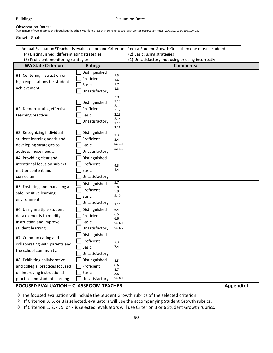Building: Evaluation Date:

#### Observation Dates:

(A minimum of two observations throughout the school year for no less than 60 minutes total with written observation notes. WAC 392-191A-110, 120, 130)

Growth Goal: 

 $\Box$  Annual Evaluation\*Teacher is evaluated on one Criterion. If not a Student Growth Goal, then one must be added. (4) Distinguished: differentiating strategies (2) Basic: using strategies

(3) Proficient: monitoring strategies (1) Unsatisfactory: not using or using incorrectly **WA State Criterion Rating: Comments: Comments:** #1: Centering instruction on high expectations for student achievement. **Distinguished**  $\Box$  Proficient  $\Box$  Basic  $\Box$  Unsatisfactory 1.5 1.6 1.7 1.8 #2: Demonstrating effective teaching practices.  $\Box$  Distinguished | Proficient  $\Box$  Basic  $\Box$  Unsatisfactory 2.9 2.10 2.11 2.12 2.13 2.14 2.15 2.16 #3: Recognizing individual student learning needs and developing strategies to address those needs.  $\Box$  Distinguished  $\Box$  Proficient  $\Box$  Basic  $\Box$  Unsatisfactory 3.3 3.4 SG 3.1 SG 3.2 #4: Providing clear and intentional focus on subject matter content and curriculum.  $\Box$  Distinguished  $\Box$  Proficient  $\Box$  Basic  $\Box$  Unsatisfactory 4.3 4.4 #5: Fostering and managing a safe, positive learning environment.  $\Box$  Distinguished  $\Box$  Proficient  $\Box$  Basic  $\Box$  Unsatisfactory 5.7 5.8 5.9 5.10 5.11 5.12 #6: Using multiple student data elements to modify instruction and improve student learning.  $\Box$  Distinguished  $\Box$  Proficient  $\Box$  Basic  $\Box$  Unsatisfactory 6.4 6.5 6.6 SG 6.1 SG 6.2 #7: Communicating and collaborating with parents and the school community.  $\Box$  Distinguished  $\Box$  Proficient  $\Box$  Basic | Unsatisfactory 7.3 7.4 #8: Exhibiting collaborative  $\Box$  Distinguished 8.5

#### **FOCUSED EVALUATION – CLASSROOM TEACHER Appendix I**

| Proficient | Basic

 $\Box$  Unsatisfactory

and collegial practices focused on improving instructional practice and student learning.

 $\clubsuit$  The focused evaluation will include the Student Growth rubrics of the selected criterion.

 $\div$  If Criterion 3, 6, or 8 is selected, evaluators will use the accompanying Student Growth rubrics.

8.6 8.7 8.8 SG 8.1

 $\cdot \cdot$  If Criterion 1, 2, 4, 5, or 7 is selected, evaluators will use Criterion 3 or 6 Student Growth rubrics.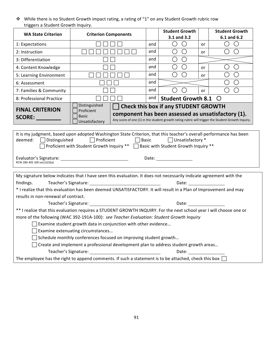◆ While there is no Student Growth impact rating, a rating of "1" on any Student Growth rubric row triggers a Student Growth Inquiry.

| $\bigcirc$<br>$\bigcirc$<br>O<br>$\bigcirc$<br>1: Expectations<br>and<br>or<br>$\bigcirc$<br>$\bigcirc$<br>$\bigcirc$<br>2: Instruction<br>and<br>$\bigcirc$<br>or<br>$\bigcirc$<br>О<br>and<br>3: Differentiation<br>$\bigcirc$<br>O<br>◯<br>and<br>( )<br>4: Content Knowledge<br>0r<br>О<br>○<br>◯<br>and<br>5: Learning Environment<br>or<br>and<br>$\bigcirc$<br>(  )<br>6: Assessment<br>and<br>$\left(\right)$<br>$\left(\right)$<br>7: Families & Community<br>$( \ )$<br>or<br>and<br>8: Professional Practice<br><b>Student Growth 8.1</b><br>$\circ$<br>Distinguished<br><b>Check this box if any STUDENT GROWTH</b><br><b>FINAL CRITERION</b><br>Proficient<br>component has been assessed as unsatisfactory (1).<br><b>Basic</b><br>SCORE: And the second second second second second second second second second second second second second second second second second second second second second second second second second second second second second seco<br>Any score of one (1) in the student growth rating rubric will trigger the Student Growth Inquiry.<br>Unsatisfactory<br>It is my judgment, based upon adopted Washington State Criterion, that this teacher's overall performance has been<br>□ Basic DUnsatisfactory *<br>$\Box$ Proficient<br>deemed: $\Box$ Distinguished<br>Proficient with Student Growth Inquiry ** □ Basic with Student Growth Inquiry **<br>Date: and the state of the state of the state of the state of the state of the state of the state of the state<br>Evaluator's Signature: University of the University of the University of the University of the University of the<br>RCW 28A 405 100 sec(1)(3)(a)<br>My signature below indicates that I have seen this evaluation. It does not necessarily indicate agreement with the<br>findings.<br>* I realize that this evaluation has been deemed UNSATISFACTORY. It will result in a Plan of Improvement and may<br>results in non-renewal of contract.<br>Date: <u>________</u><br>** I realize that this evaluation requires a STUDENT GROWTH INQUIRY. For the next school year I will choose one or<br>more of the following (WAC 392-191A-100): see Teacher Evaluation: Student Growth Inquiry<br>$\Box$ Examine student growth data in conjunction with other evidence<br>Examine extenuating circumstances<br>Schedule monthly conferences focused on improving student growth<br>Create and implement a professional development plan to address student growth areas | <b>Student Growth</b><br><b>Student Growth</b><br><b>Criterion Components</b><br><b>WA State Criterion</b><br>3.1 and 3.2<br>6.1 and 6.2 |  |  |  |  |  |  |
|---------------------------------------------------------------------------------------------------------------------------------------------------------------------------------------------------------------------------------------------------------------------------------------------------------------------------------------------------------------------------------------------------------------------------------------------------------------------------------------------------------------------------------------------------------------------------------------------------------------------------------------------------------------------------------------------------------------------------------------------------------------------------------------------------------------------------------------------------------------------------------------------------------------------------------------------------------------------------------------------------------------------------------------------------------------------------------------------------------------------------------------------------------------------------------------------------------------------------------------------------------------------------------------------------------------------------------------------------------------------------------------------------------------------------------------------------------------------------------------------------------------------------------------------------------------------------------------------------------------------------------------------------------------------------------------------------------------------------------------------------------------------------------------------------------------------------------------------------------------------------------------------------------------------------------------------------------------------------------------------------------------------------------------------------------------------------------------------------------------------------------------------------------------------------------------------------------------------------------------------------------------------------------------------------------------------------------------------------------------------------------------------------------------------------------------------------------------------------------------------|------------------------------------------------------------------------------------------------------------------------------------------|--|--|--|--|--|--|
|                                                                                                                                                                                                                                                                                                                                                                                                                                                                                                                                                                                                                                                                                                                                                                                                                                                                                                                                                                                                                                                                                                                                                                                                                                                                                                                                                                                                                                                                                                                                                                                                                                                                                                                                                                                                                                                                                                                                                                                                                                                                                                                                                                                                                                                                                                                                                                                                                                                                                             |                                                                                                                                          |  |  |  |  |  |  |
|                                                                                                                                                                                                                                                                                                                                                                                                                                                                                                                                                                                                                                                                                                                                                                                                                                                                                                                                                                                                                                                                                                                                                                                                                                                                                                                                                                                                                                                                                                                                                                                                                                                                                                                                                                                                                                                                                                                                                                                                                                                                                                                                                                                                                                                                                                                                                                                                                                                                                             |                                                                                                                                          |  |  |  |  |  |  |
|                                                                                                                                                                                                                                                                                                                                                                                                                                                                                                                                                                                                                                                                                                                                                                                                                                                                                                                                                                                                                                                                                                                                                                                                                                                                                                                                                                                                                                                                                                                                                                                                                                                                                                                                                                                                                                                                                                                                                                                                                                                                                                                                                                                                                                                                                                                                                                                                                                                                                             |                                                                                                                                          |  |  |  |  |  |  |
|                                                                                                                                                                                                                                                                                                                                                                                                                                                                                                                                                                                                                                                                                                                                                                                                                                                                                                                                                                                                                                                                                                                                                                                                                                                                                                                                                                                                                                                                                                                                                                                                                                                                                                                                                                                                                                                                                                                                                                                                                                                                                                                                                                                                                                                                                                                                                                                                                                                                                             |                                                                                                                                          |  |  |  |  |  |  |
|                                                                                                                                                                                                                                                                                                                                                                                                                                                                                                                                                                                                                                                                                                                                                                                                                                                                                                                                                                                                                                                                                                                                                                                                                                                                                                                                                                                                                                                                                                                                                                                                                                                                                                                                                                                                                                                                                                                                                                                                                                                                                                                                                                                                                                                                                                                                                                                                                                                                                             |                                                                                                                                          |  |  |  |  |  |  |
|                                                                                                                                                                                                                                                                                                                                                                                                                                                                                                                                                                                                                                                                                                                                                                                                                                                                                                                                                                                                                                                                                                                                                                                                                                                                                                                                                                                                                                                                                                                                                                                                                                                                                                                                                                                                                                                                                                                                                                                                                                                                                                                                                                                                                                                                                                                                                                                                                                                                                             |                                                                                                                                          |  |  |  |  |  |  |
|                                                                                                                                                                                                                                                                                                                                                                                                                                                                                                                                                                                                                                                                                                                                                                                                                                                                                                                                                                                                                                                                                                                                                                                                                                                                                                                                                                                                                                                                                                                                                                                                                                                                                                                                                                                                                                                                                                                                                                                                                                                                                                                                                                                                                                                                                                                                                                                                                                                                                             |                                                                                                                                          |  |  |  |  |  |  |
|                                                                                                                                                                                                                                                                                                                                                                                                                                                                                                                                                                                                                                                                                                                                                                                                                                                                                                                                                                                                                                                                                                                                                                                                                                                                                                                                                                                                                                                                                                                                                                                                                                                                                                                                                                                                                                                                                                                                                                                                                                                                                                                                                                                                                                                                                                                                                                                                                                                                                             |                                                                                                                                          |  |  |  |  |  |  |
|                                                                                                                                                                                                                                                                                                                                                                                                                                                                                                                                                                                                                                                                                                                                                                                                                                                                                                                                                                                                                                                                                                                                                                                                                                                                                                                                                                                                                                                                                                                                                                                                                                                                                                                                                                                                                                                                                                                                                                                                                                                                                                                                                                                                                                                                                                                                                                                                                                                                                             |                                                                                                                                          |  |  |  |  |  |  |
|                                                                                                                                                                                                                                                                                                                                                                                                                                                                                                                                                                                                                                                                                                                                                                                                                                                                                                                                                                                                                                                                                                                                                                                                                                                                                                                                                                                                                                                                                                                                                                                                                                                                                                                                                                                                                                                                                                                                                                                                                                                                                                                                                                                                                                                                                                                                                                                                                                                                                             |                                                                                                                                          |  |  |  |  |  |  |
|                                                                                                                                                                                                                                                                                                                                                                                                                                                                                                                                                                                                                                                                                                                                                                                                                                                                                                                                                                                                                                                                                                                                                                                                                                                                                                                                                                                                                                                                                                                                                                                                                                                                                                                                                                                                                                                                                                                                                                                                                                                                                                                                                                                                                                                                                                                                                                                                                                                                                             |                                                                                                                                          |  |  |  |  |  |  |
|                                                                                                                                                                                                                                                                                                                                                                                                                                                                                                                                                                                                                                                                                                                                                                                                                                                                                                                                                                                                                                                                                                                                                                                                                                                                                                                                                                                                                                                                                                                                                                                                                                                                                                                                                                                                                                                                                                                                                                                                                                                                                                                                                                                                                                                                                                                                                                                                                                                                                             |                                                                                                                                          |  |  |  |  |  |  |
|                                                                                                                                                                                                                                                                                                                                                                                                                                                                                                                                                                                                                                                                                                                                                                                                                                                                                                                                                                                                                                                                                                                                                                                                                                                                                                                                                                                                                                                                                                                                                                                                                                                                                                                                                                                                                                                                                                                                                                                                                                                                                                                                                                                                                                                                                                                                                                                                                                                                                             |                                                                                                                                          |  |  |  |  |  |  |
|                                                                                                                                                                                                                                                                                                                                                                                                                                                                                                                                                                                                                                                                                                                                                                                                                                                                                                                                                                                                                                                                                                                                                                                                                                                                                                                                                                                                                                                                                                                                                                                                                                                                                                                                                                                                                                                                                                                                                                                                                                                                                                                                                                                                                                                                                                                                                                                                                                                                                             |                                                                                                                                          |  |  |  |  |  |  |
|                                                                                                                                                                                                                                                                                                                                                                                                                                                                                                                                                                                                                                                                                                                                                                                                                                                                                                                                                                                                                                                                                                                                                                                                                                                                                                                                                                                                                                                                                                                                                                                                                                                                                                                                                                                                                                                                                                                                                                                                                                                                                                                                                                                                                                                                                                                                                                                                                                                                                             |                                                                                                                                          |  |  |  |  |  |  |
|                                                                                                                                                                                                                                                                                                                                                                                                                                                                                                                                                                                                                                                                                                                                                                                                                                                                                                                                                                                                                                                                                                                                                                                                                                                                                                                                                                                                                                                                                                                                                                                                                                                                                                                                                                                                                                                                                                                                                                                                                                                                                                                                                                                                                                                                                                                                                                                                                                                                                             |                                                                                                                                          |  |  |  |  |  |  |
| Teacher's Signature:<br>Date: the contract of the contract of the contract of the contract of the contract of the contract of the contract of the contract of the contract of the contract of the contract of the contract of the contract of the cont<br>The employee has the right to append comments. If such a statement is to be attached, check this box $\Box$                                                                                                                                                                                                                                                                                                                                                                                                                                                                                                                                                                                                                                                                                                                                                                                                                                                                                                                                                                                                                                                                                                                                                                                                                                                                                                                                                                                                                                                                                                                                                                                                                                                                                                                                                                                                                                                                                                                                                                                                                                                                                                                       |                                                                                                                                          |  |  |  |  |  |  |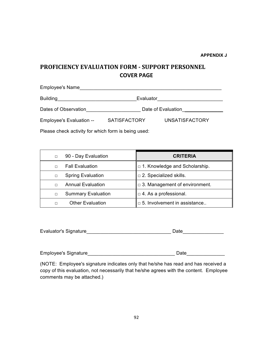# **PROFICIENCY EVALUATION FORM - SUPPORT PERSONNEL COVER PAGE**

| <b>Employee's Name</b>   |                     |                       |  |
|--------------------------|---------------------|-----------------------|--|
| <b>Building</b>          | Evaluator           |                       |  |
| Dates of Observation     | Date of Evaluation  |                       |  |
| Employee's Evaluation -- | <b>SATISFACTORY</b> | <b>UNSATISFACTORY</b> |  |
|                          |                     |                       |  |

Please check activity for which form is being used:

| $\Box$ | 90 - Day Evaluation       | <b>CRITERIA</b>                            |
|--------|---------------------------|--------------------------------------------|
| $\Box$ | <b>Fall Evaluation</b>    | $\parallel$ 1. Knowledge and Scholarship.  |
| $\Box$ | <b>Spring Evaluation</b>  | $\parallel$ $\Box$ 2. Specialized skills.  |
| $\Box$ | <b>Annual Evaluation</b>  | $\parallel$ 3. Management of environment.  |
| $\Box$ | <b>Summary Evaluation</b> | $\vert$ $\vert$ = 4. As a professional.    |
| П      | <b>Other Evaluation</b>   | $\parallel$ = 5. Involvement in assistance |

| Evaluator's Signature |  |
|-----------------------|--|
|-----------------------|--|

(NOTE: Employee's signature indicates only that he/she has read and has received a copy of this evaluation, not necessarily that he/she agrees with the content. Employee comments may be attached.)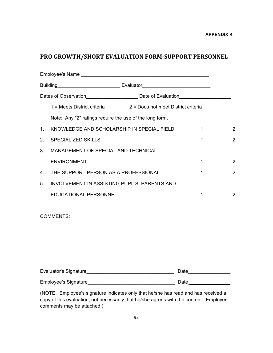# **PRO GROWTH/SHORT EVALUATION FORM-SUPPORT PERSONNEL**

|                |                                                         | 1 = Meets District criteria 2 = Does not meet District criteria |   |                |
|----------------|---------------------------------------------------------|-----------------------------------------------------------------|---|----------------|
|                | Note: Any "2" ratings require the use of the long form. |                                                                 |   |                |
| 1.             | KNOWLEDGE AND SCHOLARSHIP IN SPECIAL FIELD              |                                                                 | 1 | 2              |
| 2 <sub>1</sub> | <b>SPECIALIZED SKILLS</b><br>1                          |                                                                 |   | $\overline{2}$ |
| 3 <sub>1</sub> | MANAGEMENT OF SPECIAL AND TECHNICAL                     |                                                                 |   |                |
|                | <b>ENVIRONMENT</b>                                      |                                                                 |   | $\overline{2}$ |
| $4_{-}$        | THE SUPPORT PERSON AS A PROFESSIONAL                    |                                                                 | 1 | $\overline{2}$ |
| 5.             | INVOLVEMENT IN ASSISTING PUPILS, PARENTS AND            |                                                                 |   |                |
|                | EDUCATIONAL PERSONNEL                                   |                                                                 |   | 2              |

COMMENTS:

| Evaluator's Signature | Date |  |
|-----------------------|------|--|
|                       |      |  |
| Employee's Signature  | Date |  |

(NOTE: Employee's signature indicates only that he/she has read and has received a copy of this evaluation, not necessarily that he/she agrees with the content. Employee comments may be attached.)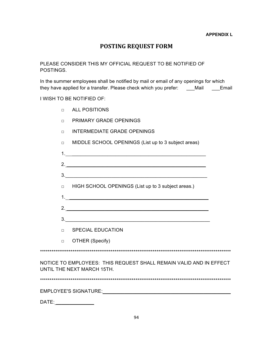## **POSTING REQUEST FORM**

### PLEASE CONSIDER THIS MY OFFICIAL REQUEST TO BE NOTIFIED OF POSTINGS.

In the summer employees shall be notified by mail or email of any openings for which they have applied for a transfer. Please check which you prefer: \_\_\_Mail \_\_\_Email

## I WISH TO BE NOTIFIED OF:

- □ ALL POSITIONS
- □ PRIMARY GRADE OPENINGS
- □ INTERMEDIATE GRADE OPENINGS
- □ MIDDLE SCHOOL OPENINGS (List up to 3 subject areas)

| 2. $\overline{\phantom{a}}$                                                                                                                                                                                                   |  |
|-------------------------------------------------------------------------------------------------------------------------------------------------------------------------------------------------------------------------------|--|
| 3.                                                                                                                                                                                                                            |  |
| $\Box$ HIGH SCHOOL OPENINGS (List up to 3 subject areas.)                                                                                                                                                                     |  |
|                                                                                                                                                                                                                               |  |
| 2.                                                                                                                                                                                                                            |  |
|                                                                                                                                                                                                                               |  |
| <b>DECIAL EDUCATION</b>                                                                                                                                                                                                       |  |
| D OTHER (Specify)                                                                                                                                                                                                             |  |
|                                                                                                                                                                                                                               |  |
| NOTICE TO EMPLOYEES: THIS REQUEST SHALL REMAIN VALID AND IN EFFECT<br>UNTIL THE NEXT MARCH 15TH.                                                                                                                              |  |
|                                                                                                                                                                                                                               |  |
| EMPLOYEE'S SIGNATURE: And the contract of the contract of the contract of the contract of the contract of the contract of the contract of the contract of the contract of the contract of the contract of the contract of the |  |
| DATE:                                                                                                                                                                                                                         |  |